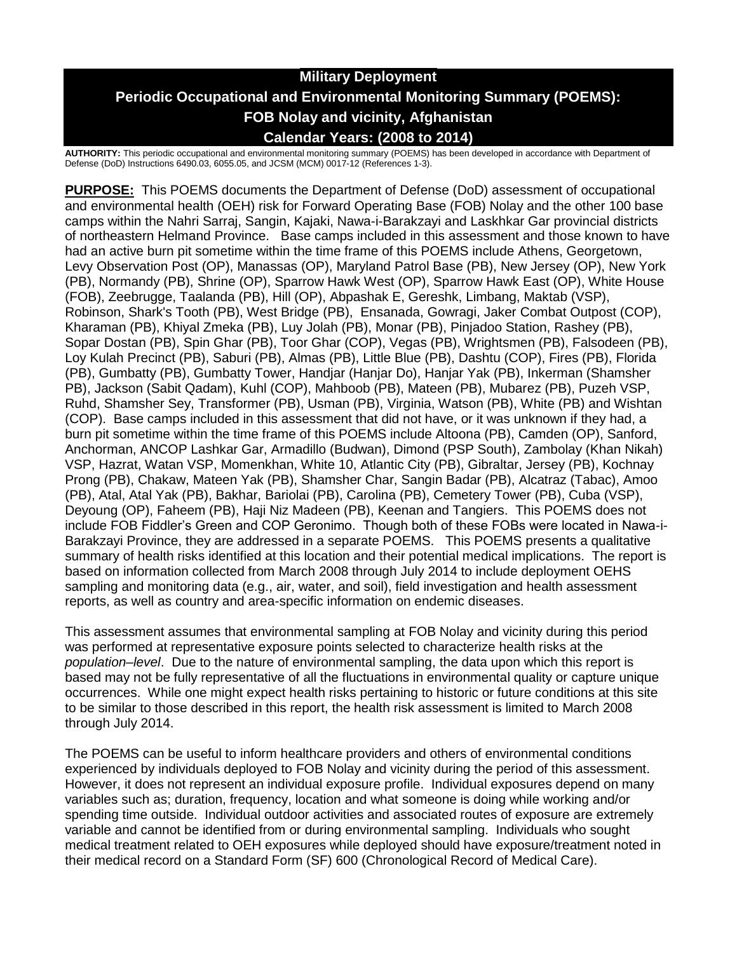# **Military Deployment Periodic Occupational and Environmental Monitoring Summary (POEMS): FOB Nolay and vicinity, Afghanistan Calendar Years: (2008 to 2014)**

**AUTHORITY:** This periodic occupational and environmental monitoring summary (POEMS) has been developed in accordance with Department of Defense (DoD) Instructions 6490.03, 6055.05, and JCSM (MCM) 0017-12 (References 1-3).

**PURPOSE:** This POEMS documents the Department of Defense (DoD) assessment of occupational and environmental health (OEH) risk for Forward Operating Base (FOB) Nolay and the other 100 base camps within the Nahri Sarraj, Sangin, Kajaki, Nawa-i-Barakzayi and Laskhkar Gar provincial districts of northeastern Helmand Province. Base camps included in this assessment and those known to have had an active burn pit sometime within the time frame of this POEMS include Athens, Georgetown, Levy Observation Post (OP), Manassas (OP), Maryland Patrol Base (PB), New Jersey (OP), New York (PB), Normandy (PB), Shrine (OP), Sparrow Hawk West (OP), Sparrow Hawk East (OP), White House (FOB), Zeebrugge, Taalanda (PB), Hill (OP), Abpashak E, Gereshk, Limbang, Maktab (VSP), Robinson, Shark's Tooth (PB), West Bridge (PB), Ensanada, Gowragi, Jaker Combat Outpost (COP), Kharaman (PB), Khiyal Zmeka (PB), Luy Jolah (PB), Monar (PB), Pinjadoo Station, Rashey (PB), Sopar Dostan (PB), Spin Ghar (PB), Toor Ghar (COP), Vegas (PB), Wrightsmen (PB), Falsodeen (PB), Loy Kulah Precinct (PB), Saburi (PB), Almas (PB), Little Blue (PB), Dashtu (COP), Fires (PB), Florida (PB), Gumbatty (PB), Gumbatty Tower, Handjar (Hanjar Do), Hanjar Yak (PB), Inkerman (Shamsher PB), Jackson (Sabit Qadam), Kuhl (COP), Mahboob (PB), Mateen (PB), Mubarez (PB), Puzeh VSP, Ruhd, Shamsher Sey, Transformer (PB), Usman (PB), Virginia, Watson (PB), White (PB) and Wishtan (COP). Base camps included in this assessment that did not have, or it was unknown if they had, a burn pit sometime within the time frame of this POEMS include Altoona (PB), Camden (OP), Sanford, Anchorman, ANCOP Lashkar Gar, Armadillo (Budwan), Dimond (PSP South), Zambolay (Khan Nikah) VSP, Hazrat, Watan VSP, Momenkhan, White 10, Atlantic City (PB), Gibraltar, Jersey (PB), Kochnay Prong (PB), Chakaw, Mateen Yak (PB), Shamsher Char, Sangin Badar (PB), Alcatraz (Tabac), Amoo (PB), Atal, Atal Yak (PB), Bakhar, Bariolai (PB), Carolina (PB), Cemetery Tower (PB), Cuba (VSP), Deyoung (OP), Faheem (PB), Haji Niz Madeen (PB), Keenan and Tangiers. This POEMS does not include FOB Fiddler's Green and COP Geronimo. Though both of these FOBs were located in Nawa-i-Barakzayi Province, they are addressed in a separate POEMS. This POEMS presents a qualitative summary of health risks identified at this location and their potential medical implications. The report is based on information collected from March 2008 through July 2014 to include deployment OEHS sampling and monitoring data (e.g., air, water, and soil), field investigation and health assessment reports, as well as country and area-specific information on endemic diseases.

This assessment assumes that environmental sampling at FOB Nolay and vicinity during this period was performed at representative exposure points selected to characterize health risks at the *population–level*. Due to the nature of environmental sampling, the data upon which this report is based may not be fully representative of all the fluctuations in environmental quality or capture unique occurrences. While one might expect health risks pertaining to historic or future conditions at this site to be similar to those described in this report, the health risk assessment is limited to March 2008 through July 2014.

The POEMS can be useful to inform healthcare providers and others of environmental conditions experienced by individuals deployed to FOB Nolay and vicinity during the period of this assessment. However, it does not represent an individual exposure profile. Individual exposures depend on many variables such as; duration, frequency, location and what someone is doing while working and/or spending time outside. Individual outdoor activities and associated routes of exposure are extremely variable and cannot be identified from or during environmental sampling. Individuals who sought medical treatment related to OEH exposures while deployed should have exposure/treatment noted in their medical record on a Standard Form (SF) 600 (Chronological Record of Medical Care).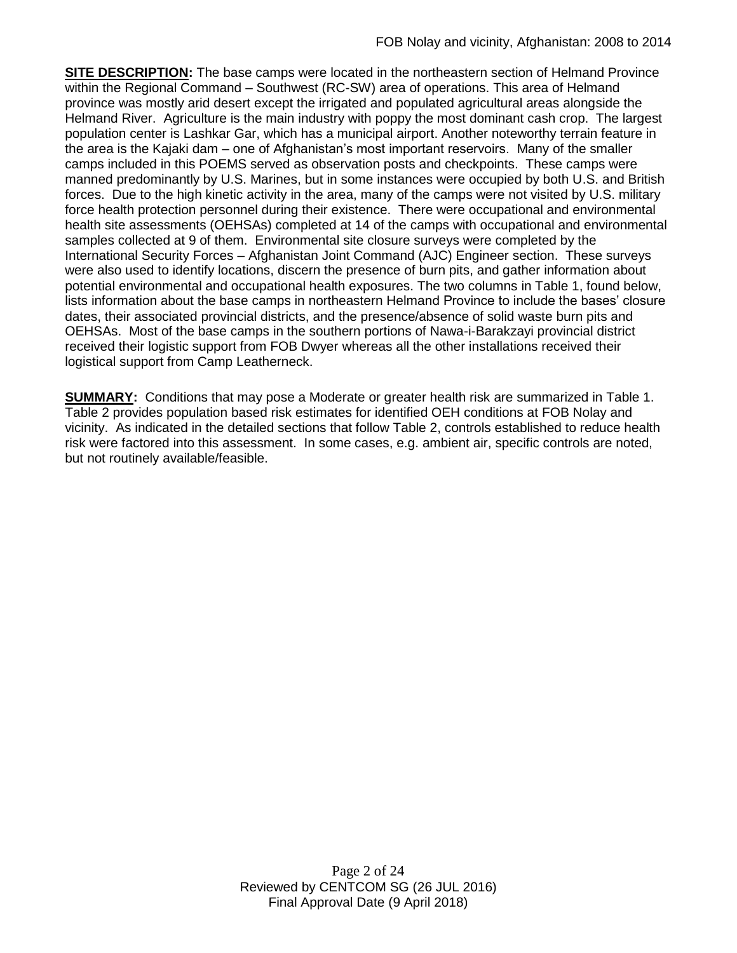**SITE DESCRIPTION:** The base camps were located in the northeastern section of Helmand Province within the Regional Command – Southwest (RC-SW) area of operations. This area of Helmand province was mostly arid desert except the irrigated and populated agricultural areas alongside the Helmand River. Agriculture is the main industry with poppy the most dominant cash crop. The largest population center is Lashkar Gar, which has a municipal airport. Another noteworthy terrain feature in the area is the Kajaki dam – one of Afghanistan's most important reservoirs. Many of the smaller camps included in this POEMS served as observation posts and checkpoints. These camps were manned predominantly by U.S. Marines, but in some instances were occupied by both U.S. and British forces. Due to the high kinetic activity in the area, many of the camps were not visited by U.S. military force health protection personnel during their existence. There were occupational and environmental health site assessments (OEHSAs) completed at 14 of the camps with occupational and environmental samples collected at 9 of them. Environmental site closure surveys were completed by the International Security Forces – Afghanistan Joint Command (AJC) Engineer section. These surveys were also used to identify locations, discern the presence of burn pits, and gather information about potential environmental and occupational health exposures. The two columns in Table 1, found below, lists information about the base camps in northeastern Helmand Province to include the bases' closure dates, their associated provincial districts, and the presence/absence of solid waste burn pits and OEHSAs. Most of the base camps in the southern portions of Nawa-i-Barakzayi provincial district received their logistic support from FOB Dwyer whereas all the other installations received their logistical support from Camp Leatherneck.

**SUMMARY:** Conditions that may pose a Moderate or greater health risk are summarized in Table 1. Table 2 provides population based risk estimates for identified OEH conditions at FOB Nolay and vicinity. As indicated in the detailed sections that follow Table 2, controls established to reduce health risk were factored into this assessment. In some cases, e.g. ambient air, specific controls are noted, but not routinely available/feasible.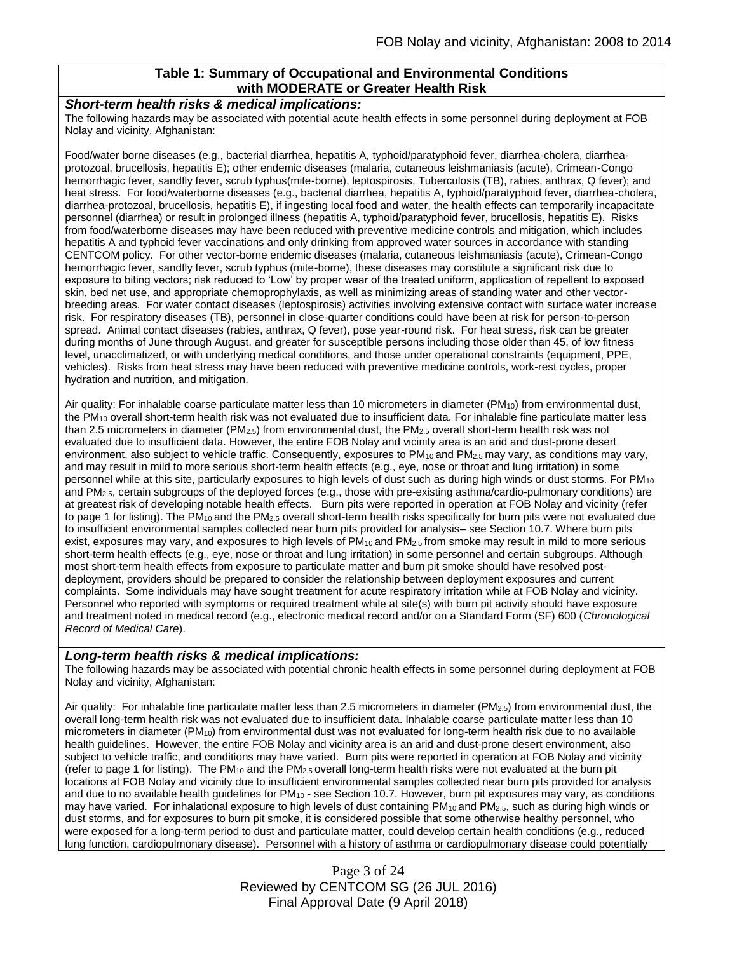### **Table 1: Summary of Occupational and Environmental Conditions with MODERATE or Greater Health Risk**

#### *Short-term health risks & medical implications:*

The following hazards may be associated with potential acute health effects in some personnel during deployment at FOB Nolay and vicinity, Afghanistan:

Food/water borne diseases (e.g., bacterial diarrhea, hepatitis A, typhoid/paratyphoid fever, diarrhea-cholera, diarrheaprotozoal, brucellosis, hepatitis E); other endemic diseases (malaria, cutaneous leishmaniasis (acute), Crimean-Congo hemorrhagic fever, sandfly fever, scrub typhus(mite-borne), leptospirosis, Tuberculosis (TB), rabies, anthrax, Q fever); and heat stress. For food/waterborne diseases (e.g., bacterial diarrhea, hepatitis A, typhoid/paratyphoid fever, diarrhea-cholera, diarrhea-protozoal, brucellosis, hepatitis E), if ingesting local food and water, the health effects can temporarily incapacitate personnel (diarrhea) or result in prolonged illness (hepatitis A, typhoid/paratyphoid fever, brucellosis, hepatitis E). Risks from food/waterborne diseases may have been reduced with preventive medicine controls and mitigation, which includes hepatitis A and typhoid fever vaccinations and only drinking from approved water sources in accordance with standing CENTCOM policy. For other vector-borne endemic diseases (malaria, cutaneous leishmaniasis (acute), Crimean-Congo hemorrhagic fever, sandfly fever, scrub typhus (mite-borne), these diseases may constitute a significant risk due to exposure to biting vectors; risk reduced to 'Low' by proper wear of the treated uniform, application of repellent to exposed skin, bed net use, and appropriate chemoprophylaxis, as well as minimizing areas of standing water and other vectorbreeding areas. For water contact diseases (leptospirosis) activities involving extensive contact with surface water increase risk. For respiratory diseases (TB), personnel in close-quarter conditions could have been at risk for person-to-person spread. Animal contact diseases (rabies, anthrax, Q fever), pose year-round risk. For heat stress, risk can be greater during months of June through August, and greater for susceptible persons including those older than 45, of low fitness level, unacclimatized, or with underlying medical conditions, and those under operational constraints (equipment, PPE, vehicles). Risks from heat stress may have been reduced with preventive medicine controls, work-rest cycles, proper hydration and nutrition, and mitigation.

Air quality: For inhalable coarse particulate matter less than 10 micrometers in diameter (PM<sub>10</sub>) from environmental dust, the PM<sup>10</sup> overall short-term health risk was not evaluated due to insufficient data. For inhalable fine particulate matter less than 2.5 micrometers in diameter (PM<sub>2.5</sub>) from environmental dust, the PM<sub>2.5</sub> overall short-term health risk was not evaluated due to insufficient data. However, the entire FOB Nolay and vicinity area is an arid and dust-prone desert environment, also subject to vehicle traffic. Consequently, exposures to  $PM_{10}$  and  $PM_{2.5}$  may vary, as conditions may vary, and may result in mild to more serious short-term health effects (e.g., eye, nose or throat and lung irritation) in some personnel while at this site, particularly exposures to high levels of dust such as during high winds or dust storms. For PM<sup>10</sup> and PM2.5, certain subgroups of the deployed forces (e.g., those with pre-existing asthma/cardio-pulmonary conditions) are at greatest risk of developing notable health effects. Burn pits were reported in operation at FOB Nolay and vicinity (refer to page 1 for listing). The PM<sub>10</sub> and the PM<sub>2.5</sub> overall short-term health risks specifically for burn pits were not evaluated due to insufficient environmental samples collected near burn pits provided for analysis– see Section 10.7. Where burn pits exist, exposures may vary, and exposures to high levels of PM<sub>10</sub> and PM<sub>2.5</sub> from smoke may result in mild to more serious short-term health effects (e.g., eye, nose or throat and lung irritation) in some personnel and certain subgroups. Although most short-term health effects from exposure to particulate matter and burn pit smoke should have resolved postdeployment, providers should be prepared to consider the relationship between deployment exposures and current complaints. Some individuals may have sought treatment for acute respiratory irritation while at FOB Nolay and vicinity. Personnel who reported with symptoms or required treatment while at site(s) with burn pit activity should have exposure and treatment noted in medical record (e.g., electronic medical record and/or on a Standard Form (SF) 600 (*Chronological Record of Medical Care*).

#### *Long-term health risks & medical implications:*

The following hazards may be associated with potential chronic health effects in some personnel during deployment at FOB Nolay and vicinity, Afghanistan:

Air quality: For inhalable fine particulate matter less than 2.5 micrometers in diameter (PM<sub>2.5</sub>) from environmental dust, the overall long-term health risk was not evaluated due to insufficient data. Inhalable coarse particulate matter less than 10 micrometers in diameter (PM10) from environmental dust was not evaluated for long-term health risk due to no available health guidelines. However, the entire FOB Nolay and vicinity area is an arid and dust-prone desert environment, also subject to vehicle traffic, and conditions may have varied. Burn pits were reported in operation at FOB Nolay and vicinity (refer to page 1 for listing). The  $PM_{10}$  and the  $PM_{2.5}$  overall long-term health risks were not evaluated at the burn pit locations at FOB Nolay and vicinity due to insufficient environmental samples collected near burn pits provided for analysis and due to no available health guidelines for  $PM_{10}$  - see Section 10.7. However, burn pit exposures may vary, as conditions may have varied. For inhalational exposure to high levels of dust containing  $PM_{10}$  and  $PM_{2.5}$ , such as during high winds or dust storms, and for exposures to burn pit smoke, it is considered possible that some otherwise healthy personnel, who were exposed for a long-term period to dust and particulate matter, could develop certain health conditions (e.g., reduced lung function, cardiopulmonary disease). Personnel with a history of asthma or cardiopulmonary disease could potentially

> Page 3 of 24 Reviewed by CENTCOM SG (26 JUL 2016) Final Approval Date (9 April 2018)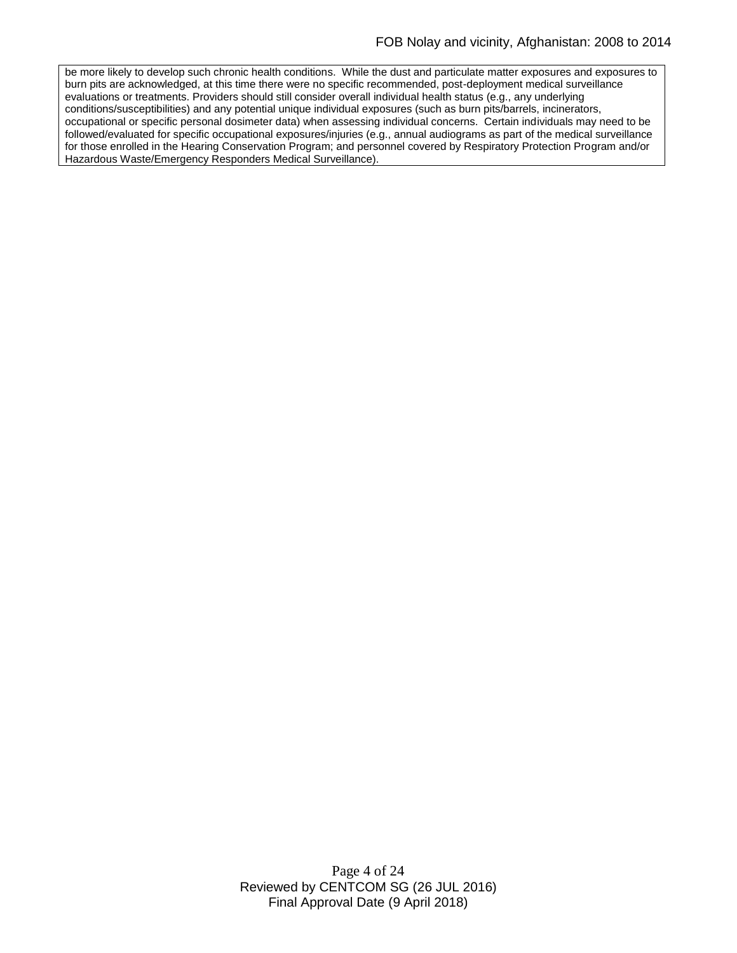be more likely to develop such chronic health conditions. While the dust and particulate matter exposures and exposures to burn pits are acknowledged, at this time there were no specific recommended, post-deployment medical surveillance evaluations or treatments. Providers should still consider overall individual health status (e.g., any underlying conditions/susceptibilities) and any potential unique individual exposures (such as burn pits/barrels, incinerators, occupational or specific personal dosimeter data) when assessing individual concerns. Certain individuals may need to be followed/evaluated for specific occupational exposures/injuries (e.g., annual audiograms as part of the medical surveillance for those enrolled in the Hearing Conservation Program; and personnel covered by Respiratory Protection Program and/or Hazardous Waste/Emergency Responders Medical Surveillance).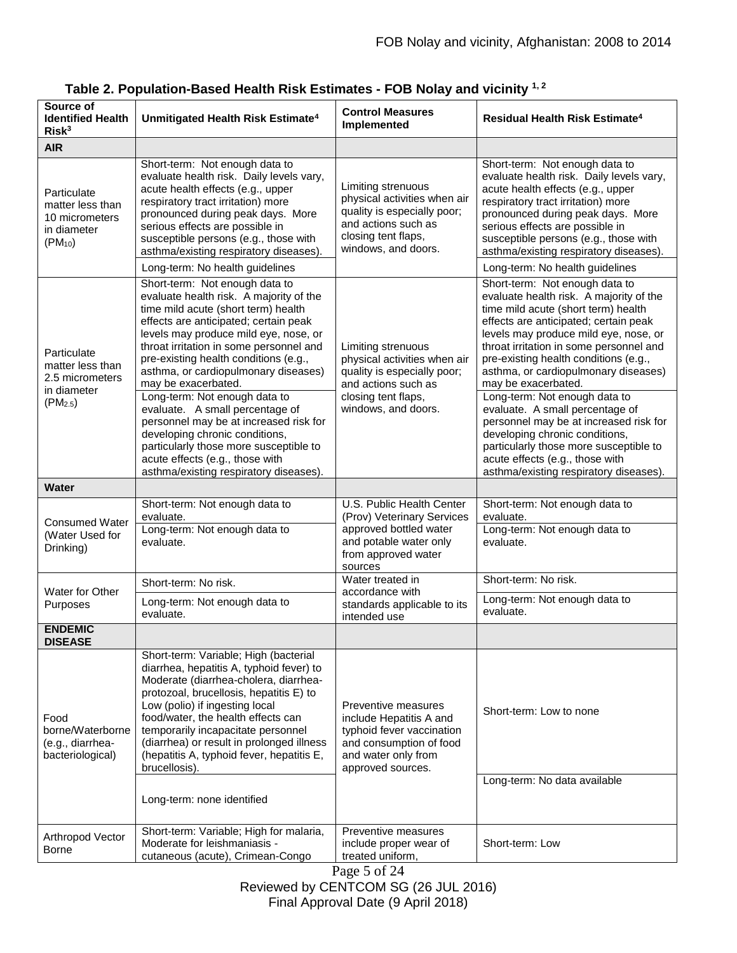| Source of<br><b>Identified Health</b><br>Risk <sup>3</sup>                                | Unmitigated Health Risk Estimate <sup>4</sup>                                                                                                                                                                                                                                                                                                                                                                                                                                                                                                                                                                                | <b>Control Measures</b><br>Implemented                                                                                                                 | Residual Health Risk Estimate <sup>4</sup>                                                                                                                                                                                                                                                                                                                                                                                                                                                                                                                                                                                   |  |
|-------------------------------------------------------------------------------------------|------------------------------------------------------------------------------------------------------------------------------------------------------------------------------------------------------------------------------------------------------------------------------------------------------------------------------------------------------------------------------------------------------------------------------------------------------------------------------------------------------------------------------------------------------------------------------------------------------------------------------|--------------------------------------------------------------------------------------------------------------------------------------------------------|------------------------------------------------------------------------------------------------------------------------------------------------------------------------------------------------------------------------------------------------------------------------------------------------------------------------------------------------------------------------------------------------------------------------------------------------------------------------------------------------------------------------------------------------------------------------------------------------------------------------------|--|
| <b>AIR</b>                                                                                |                                                                                                                                                                                                                                                                                                                                                                                                                                                                                                                                                                                                                              |                                                                                                                                                        |                                                                                                                                                                                                                                                                                                                                                                                                                                                                                                                                                                                                                              |  |
| Particulate<br>matter less than<br>10 micrometers<br>in diameter<br>$(PM_{10})$           | Short-term: Not enough data to<br>evaluate health risk. Daily levels vary,<br>acute health effects (e.g., upper<br>respiratory tract irritation) more<br>pronounced during peak days. More<br>serious effects are possible in<br>susceptible persons (e.g., those with<br>asthma/existing respiratory diseases).<br>Long-term: No health guidelines                                                                                                                                                                                                                                                                          | Limiting strenuous<br>physical activities when air<br>quality is especially poor;<br>and actions such as<br>closing tent flaps,<br>windows, and doors. | Short-term: Not enough data to<br>evaluate health risk. Daily levels vary,<br>acute health effects (e.g., upper<br>respiratory tract irritation) more<br>pronounced during peak days. More<br>serious effects are possible in<br>susceptible persons (e.g., those with<br>asthma/existing respiratory diseases).<br>Long-term: No health guidelines                                                                                                                                                                                                                                                                          |  |
| Particulate<br>matter less than<br>2.5 micrometers<br>in diameter<br>(PM <sub>2.5</sub> ) | Short-term: Not enough data to<br>evaluate health risk. A majority of the<br>time mild acute (short term) health<br>effects are anticipated; certain peak<br>levels may produce mild eye, nose, or<br>throat irritation in some personnel and<br>pre-existing health conditions (e.g.,<br>asthma, or cardiopulmonary diseases)<br>may be exacerbated.<br>Long-term: Not enough data to<br>evaluate. A small percentage of<br>personnel may be at increased risk for<br>developing chronic conditions,<br>particularly those more susceptible to<br>acute effects (e.g., those with<br>asthma/existing respiratory diseases). | Limiting strenuous<br>physical activities when air<br>quality is especially poor;<br>and actions such as<br>closing tent flaps,<br>windows, and doors. | Short-term: Not enough data to<br>evaluate health risk. A majority of the<br>time mild acute (short term) health<br>effects are anticipated; certain peak<br>levels may produce mild eye, nose, or<br>throat irritation in some personnel and<br>pre-existing health conditions (e.g.,<br>asthma, or cardiopulmonary diseases)<br>may be exacerbated.<br>Long-term: Not enough data to<br>evaluate. A small percentage of<br>personnel may be at increased risk for<br>developing chronic conditions,<br>particularly those more susceptible to<br>acute effects (e.g., those with<br>asthma/existing respiratory diseases). |  |
| <b>Water</b>                                                                              |                                                                                                                                                                                                                                                                                                                                                                                                                                                                                                                                                                                                                              |                                                                                                                                                        |                                                                                                                                                                                                                                                                                                                                                                                                                                                                                                                                                                                                                              |  |
| <b>Consumed Water</b><br>(Water Used for<br>Drinking)                                     | Short-term: Not enough data to<br>evaluate.<br>Long-term: Not enough data to<br>evaluate.                                                                                                                                                                                                                                                                                                                                                                                                                                                                                                                                    | U.S. Public Health Center<br>(Prov) Veterinary Services<br>approved bottled water<br>and potable water only<br>from approved water<br>sources          | Short-term: Not enough data to<br>evaluate.<br>Long-term: Not enough data to<br>evaluate.                                                                                                                                                                                                                                                                                                                                                                                                                                                                                                                                    |  |
|                                                                                           | Short-term: No risk.                                                                                                                                                                                                                                                                                                                                                                                                                                                                                                                                                                                                         | Water treated in                                                                                                                                       | Short-term: No risk.                                                                                                                                                                                                                                                                                                                                                                                                                                                                                                                                                                                                         |  |
| Water for Other<br>Purposes                                                               | Long-term: Not enough data to<br>evaluate.                                                                                                                                                                                                                                                                                                                                                                                                                                                                                                                                                                                   | accordance with<br>standards applicable to its<br>intended use                                                                                         | Long-term: Not enough data to<br>evaluate.                                                                                                                                                                                                                                                                                                                                                                                                                                                                                                                                                                                   |  |
| <b>ENDEMIC</b><br><b>DISEASE</b>                                                          |                                                                                                                                                                                                                                                                                                                                                                                                                                                                                                                                                                                                                              |                                                                                                                                                        |                                                                                                                                                                                                                                                                                                                                                                                                                                                                                                                                                                                                                              |  |
| Food<br>borne/Waterborne<br>(e.g., diarrhea-<br>bacteriological)                          | Short-term: Variable; High (bacterial<br>diarrhea, hepatitis A, typhoid fever) to<br>Moderate (diarrhea-cholera, diarrhea-<br>protozoal, brucellosis, hepatitis E) to<br>Low (polio) if ingesting local<br>food/water, the health effects can<br>temporarily incapacitate personnel<br>(diarrhea) or result in prolonged illness<br>(hepatitis A, typhoid fever, hepatitis E,<br>brucellosis).<br>Long-term: none identified                                                                                                                                                                                                 | Preventive measures<br>include Hepatitis A and<br>typhoid fever vaccination<br>and consumption of food<br>and water only from<br>approved sources.     | Short-term: Low to none<br>Long-term: No data available                                                                                                                                                                                                                                                                                                                                                                                                                                                                                                                                                                      |  |
| Arthropod Vector<br>Borne                                                                 | Short-term: Variable; High for malaria,<br>Moderate for leishmaniasis -<br>cutaneous (acute), Crimean-Congo                                                                                                                                                                                                                                                                                                                                                                                                                                                                                                                  | Preventive measures<br>include proper wear of<br>treated uniform,                                                                                      | Short-term: Low                                                                                                                                                                                                                                                                                                                                                                                                                                                                                                                                                                                                              |  |

| Table 2. Population-Based Health Risk Estimates - FOB Nolay and vicinity $^{1,2}$ |  |  |
|-----------------------------------------------------------------------------------|--|--|
|-----------------------------------------------------------------------------------|--|--|

Page 5 of 24 Reviewed by CENTCOM SG (26 JUL 2016) Final Approval Date (9 April 2018)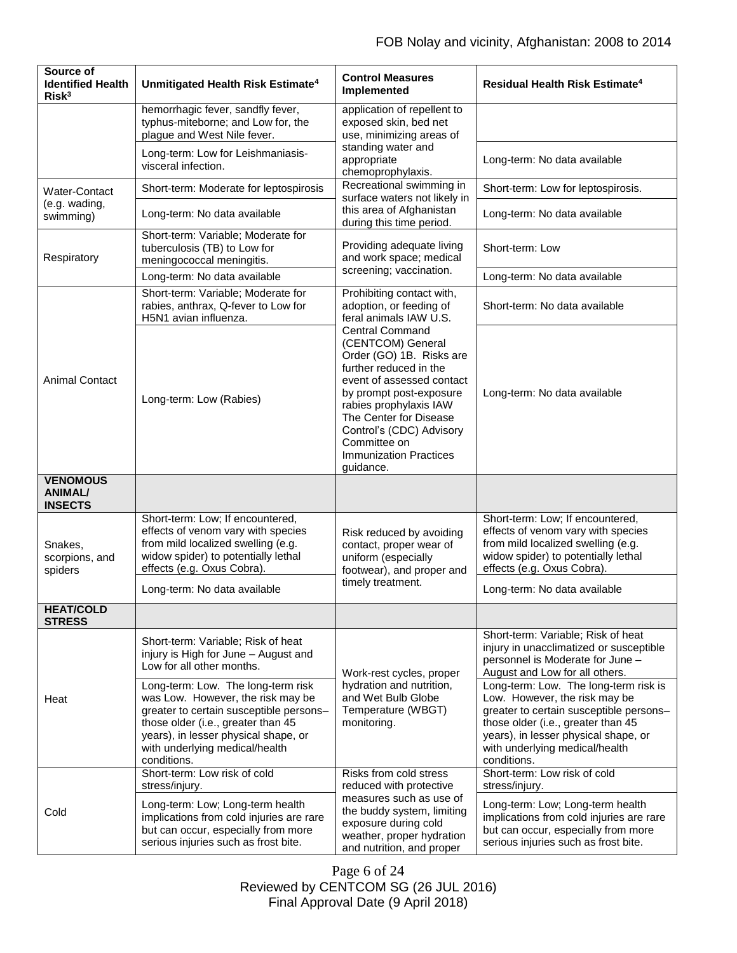| Source of<br><b>Identified Health</b><br>Risk <sup>3</sup> | Unmitigated Health Risk Estimate <sup>4</sup>                                                                                                                                                                                                     | <b>Control Measures</b><br>Implemented                                                                                                                                                                                                                                                                  | <b>Residual Health Risk Estimate<sup>4</sup></b>                                                                                                                                                                                                 |  |
|------------------------------------------------------------|---------------------------------------------------------------------------------------------------------------------------------------------------------------------------------------------------------------------------------------------------|---------------------------------------------------------------------------------------------------------------------------------------------------------------------------------------------------------------------------------------------------------------------------------------------------------|--------------------------------------------------------------------------------------------------------------------------------------------------------------------------------------------------------------------------------------------------|--|
|                                                            | hemorrhagic fever, sandfly fever,<br>typhus-miteborne; and Low for, the<br>plague and West Nile fever.                                                                                                                                            | application of repellent to<br>exposed skin, bed net<br>use, minimizing areas of                                                                                                                                                                                                                        |                                                                                                                                                                                                                                                  |  |
|                                                            | Long-term: Low for Leishmaniasis-<br>visceral infection.                                                                                                                                                                                          | standing water and<br>appropriate<br>chemoprophylaxis.                                                                                                                                                                                                                                                  | Long-term: No data available                                                                                                                                                                                                                     |  |
| Water-Contact                                              | Short-term: Moderate for leptospirosis                                                                                                                                                                                                            | Recreational swimming in<br>surface waters not likely in                                                                                                                                                                                                                                                | Short-term: Low for leptospirosis.                                                                                                                                                                                                               |  |
| (e.g. wading,<br>swimming)                                 | Long-term: No data available                                                                                                                                                                                                                      | this area of Afghanistan<br>during this time period.                                                                                                                                                                                                                                                    | Long-term: No data available                                                                                                                                                                                                                     |  |
| Respiratory                                                | Short-term: Variable; Moderate for<br>tuberculosis (TB) to Low for<br>meningococcal meningitis.                                                                                                                                                   | Providing adequate living<br>and work space; medical                                                                                                                                                                                                                                                    | Short-term: Low                                                                                                                                                                                                                                  |  |
|                                                            | Long-term: No data available                                                                                                                                                                                                                      | screening; vaccination.                                                                                                                                                                                                                                                                                 | Long-term: No data available                                                                                                                                                                                                                     |  |
| <b>Animal Contact</b>                                      | Short-term: Variable; Moderate for<br>rabies, anthrax, Q-fever to Low for<br>H5N1 avian influenza.                                                                                                                                                | Prohibiting contact with,<br>adoption, or feeding of<br>feral animals IAW U.S.                                                                                                                                                                                                                          | Short-term: No data available                                                                                                                                                                                                                    |  |
|                                                            | Long-term: Low (Rabies)                                                                                                                                                                                                                           | <b>Central Command</b><br>(CENTCOM) General<br>Order (GO) 1B. Risks are<br>further reduced in the<br>event of assessed contact<br>by prompt post-exposure<br>rabies prophylaxis IAW<br>The Center for Disease<br>Control's (CDC) Advisory<br>Committee on<br><b>Immunization Practices</b><br>guidance. | Long-term: No data available                                                                                                                                                                                                                     |  |
| <b>VENOMOUS</b><br><b>ANIMAL/</b><br><b>INSECTS</b>        |                                                                                                                                                                                                                                                   |                                                                                                                                                                                                                                                                                                         |                                                                                                                                                                                                                                                  |  |
| Snakes.<br>scorpions, and<br>spiders                       | Short-term: Low; If encountered,<br>effects of venom vary with species<br>from mild localized swelling (e.g.<br>widow spider) to potentially lethal<br>effects (e.g. Oxus Cobra).                                                                 | Risk reduced by avoiding<br>contact, proper wear of<br>uniform (especially<br>footwear), and proper and<br>timely treatment.                                                                                                                                                                            | Short-term: Low; If encountered,<br>effects of venom vary with species<br>from mild localized swelling (e.g.<br>widow spider) to potentially lethal<br>effects (e.g. Oxus Cobra).                                                                |  |
|                                                            | Long-term: No data available                                                                                                                                                                                                                      |                                                                                                                                                                                                                                                                                                         | Long-term: No data available                                                                                                                                                                                                                     |  |
| <b>HEAT/COLD</b><br><b>STRESS</b>                          |                                                                                                                                                                                                                                                   |                                                                                                                                                                                                                                                                                                         |                                                                                                                                                                                                                                                  |  |
| Heat                                                       | Short-term: Variable; Risk of heat<br>injury is High for June - August and<br>Low for all other months.                                                                                                                                           | Work-rest cycles, proper                                                                                                                                                                                                                                                                                | Short-term: Variable; Risk of heat<br>injury in unacclimatized or susceptible<br>personnel is Moderate for June -<br>August and Low for all others.                                                                                              |  |
|                                                            | Long-term: Low. The long-term risk<br>was Low. However, the risk may be<br>greater to certain susceptible persons-<br>those older (i.e., greater than 45<br>years), in lesser physical shape, or<br>with underlying medical/health<br>conditions. | hydration and nutrition,<br>and Wet Bulb Globe<br>Temperature (WBGT)<br>monitoring.                                                                                                                                                                                                                     | Long-term: Low. The long-term risk is<br>Low. However, the risk may be<br>greater to certain susceptible persons-<br>those older (i.e., greater than 45<br>years), in lesser physical shape, or<br>with underlying medical/health<br>conditions. |  |
|                                                            | Short-term: Low risk of cold<br>stress/injury.                                                                                                                                                                                                    | Risks from cold stress<br>reduced with protective                                                                                                                                                                                                                                                       | Short-term: Low risk of cold<br>stress/injury.                                                                                                                                                                                                   |  |
| Cold                                                       | Long-term: Low; Long-term health<br>implications from cold injuries are rare<br>but can occur, especially from more<br>serious injuries such as frost bite.                                                                                       | measures such as use of<br>the buddy system, limiting<br>exposure during cold<br>weather, proper hydration<br>and nutrition, and proper                                                                                                                                                                 | Long-term: Low; Long-term health<br>implications from cold injuries are rare<br>but can occur, especially from more<br>serious injuries such as frost bite.                                                                                      |  |

Page 6 of 24 Reviewed by CENTCOM SG (26 JUL 2016) Final Approval Date (9 April 2018)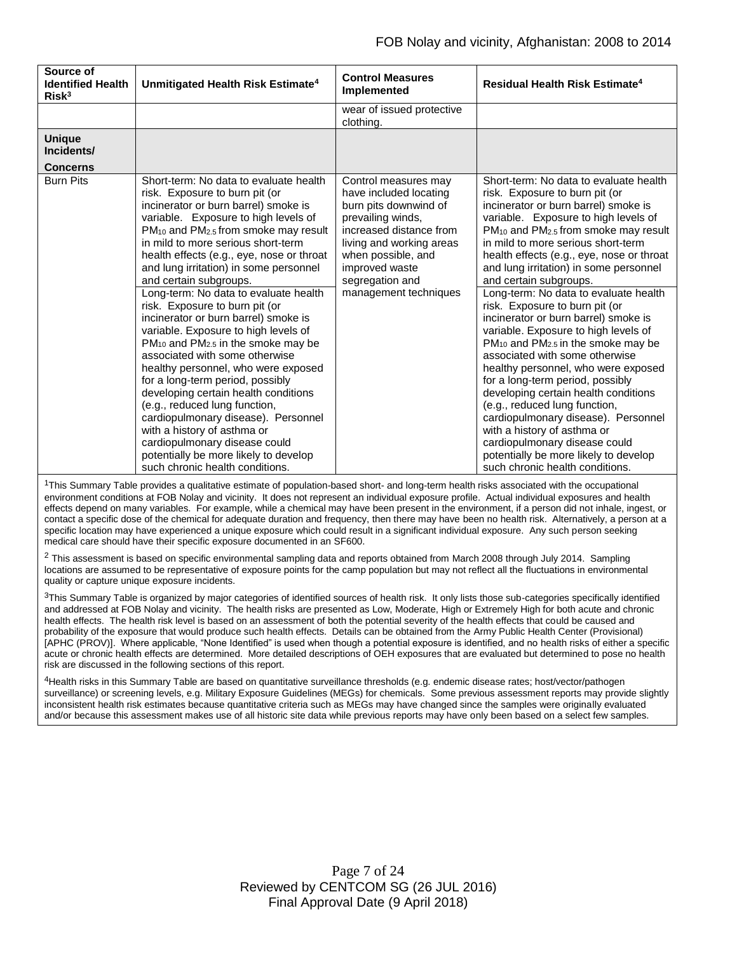| Source of<br><b>Identified Health</b><br>Risk <sup>3</sup> | Unmitigated Health Risk Estimate <sup>4</sup>                                                                                                                                                                                                                                                                                                                                                                                                                                                                                                                                                  | <b>Control Measures</b><br>Implemented                                                                                                                                                                         | <b>Residual Health Risk Estimate<sup>4</sup></b>                                                                                                                                                                                                                                                                                                                                                                                                                                                                                                                                               |  |
|------------------------------------------------------------|------------------------------------------------------------------------------------------------------------------------------------------------------------------------------------------------------------------------------------------------------------------------------------------------------------------------------------------------------------------------------------------------------------------------------------------------------------------------------------------------------------------------------------------------------------------------------------------------|----------------------------------------------------------------------------------------------------------------------------------------------------------------------------------------------------------------|------------------------------------------------------------------------------------------------------------------------------------------------------------------------------------------------------------------------------------------------------------------------------------------------------------------------------------------------------------------------------------------------------------------------------------------------------------------------------------------------------------------------------------------------------------------------------------------------|--|
|                                                            |                                                                                                                                                                                                                                                                                                                                                                                                                                                                                                                                                                                                | wear of issued protective<br>clothing.                                                                                                                                                                         |                                                                                                                                                                                                                                                                                                                                                                                                                                                                                                                                                                                                |  |
| <b>Unique</b><br>Incidents/                                |                                                                                                                                                                                                                                                                                                                                                                                                                                                                                                                                                                                                |                                                                                                                                                                                                                |                                                                                                                                                                                                                                                                                                                                                                                                                                                                                                                                                                                                |  |
| <b>Concerns</b>                                            |                                                                                                                                                                                                                                                                                                                                                                                                                                                                                                                                                                                                |                                                                                                                                                                                                                |                                                                                                                                                                                                                                                                                                                                                                                                                                                                                                                                                                                                |  |
| <b>Burn Pits</b>                                           | Short-term: No data to evaluate health<br>risk. Exposure to burn pit (or<br>incinerator or burn barrel) smoke is<br>variable. Exposure to high levels of<br>$PM_{10}$ and $PM_{2.5}$ from smoke may result<br>in mild to more serious short-term<br>health effects (e.g., eye, nose or throat<br>and lung irritation) in some personnel<br>and certain subgroups.                                                                                                                                                                                                                              | Control measures may<br>have included locating<br>burn pits downwind of<br>prevailing winds,<br>increased distance from<br>living and working areas<br>when possible, and<br>improved waste<br>segregation and | Short-term: No data to evaluate health<br>risk. Exposure to burn pit (or<br>incinerator or burn barrel) smoke is<br>variable. Exposure to high levels of<br>$PM_{10}$ and $PM_{2.5}$ from smoke may result<br>in mild to more serious short-term<br>health effects (e.g., eye, nose or throat<br>and lung irritation) in some personnel<br>and certain subgroups.                                                                                                                                                                                                                              |  |
|                                                            | Long-term: No data to evaluate health<br>risk. Exposure to burn pit (or<br>incinerator or burn barrel) smoke is<br>variable. Exposure to high levels of<br>PM <sub>10</sub> and PM <sub>2.5</sub> in the smoke may be<br>associated with some otherwise<br>healthy personnel, who were exposed<br>for a long-term period, possibly<br>developing certain health conditions<br>(e.g., reduced lung function,<br>cardiopulmonary disease). Personnel<br>with a history of asthma or<br>cardiopulmonary disease could<br>potentially be more likely to develop<br>such chronic health conditions. | management techniques                                                                                                                                                                                          | Long-term: No data to evaluate health<br>risk. Exposure to burn pit (or<br>incinerator or burn barrel) smoke is<br>variable. Exposure to high levels of<br>PM <sub>10</sub> and PM <sub>2.5</sub> in the smoke may be<br>associated with some otherwise<br>healthy personnel, who were exposed<br>for a long-term period, possibly<br>developing certain health conditions<br>(e.g., reduced lung function,<br>cardiopulmonary disease). Personnel<br>with a history of asthma or<br>cardiopulmonary disease could<br>potentially be more likely to develop<br>such chronic health conditions. |  |

<sup>1</sup>This Summary Table provides a qualitative estimate of population-based short- and long-term health risks associated with the occupational environment conditions at FOB Nolay and vicinity. It does not represent an individual exposure profile. Actual individual exposures and health effects depend on many variables. For example, while a chemical may have been present in the environment, if a person did not inhale, ingest, or contact a specific dose of the chemical for adequate duration and frequency, then there may have been no health risk. Alternatively, a person at a specific location may have experienced a unique exposure which could result in a significant individual exposure. Any such person seeking medical care should have their specific exposure documented in an SF600.

 $2$  This assessment is based on specific environmental sampling data and reports obtained from March 2008 through July 2014. Sampling locations are assumed to be representative of exposure points for the camp population but may not reflect all the fluctuations in environmental quality or capture unique exposure incidents.

 $3$ This Summary Table is organized by major categories of identified sources of health risk. It only lists those sub-categories specifically identified and addressed at FOB Nolay and vicinity. The health risks are presented as Low, Moderate, High or Extremely High for both acute and chronic health effects. The health risk level is based on an assessment of both the potential severity of the health effects that could be caused and probability of the exposure that would produce such health effects. Details can be obtained from the Army Public Health Center (Provisional) [APHC (PROV)]. Where applicable, "None Identified" is used when though a potential exposure is identified, and no health risks of either a specific acute or chronic health effects are determined. More detailed descriptions of OEH exposures that are evaluated but determined to pose no health risk are discussed in the following sections of this report.

4Health risks in this Summary Table are based on quantitative surveillance thresholds (e.g. endemic disease rates; host/vector/pathogen surveillance) or screening levels, e.g. Military Exposure Guidelines (MEGs) for chemicals*.* Some previous assessment reports may provide slightly inconsistent health risk estimates because quantitative criteria such as MEGs may have changed since the samples were originally evaluated and/or because this assessment makes use of all historic site data while previous reports may have only been based on a select few samples.

> Page 7 of 24 Reviewed by CENTCOM SG (26 JUL 2016) Final Approval Date (9 April 2018)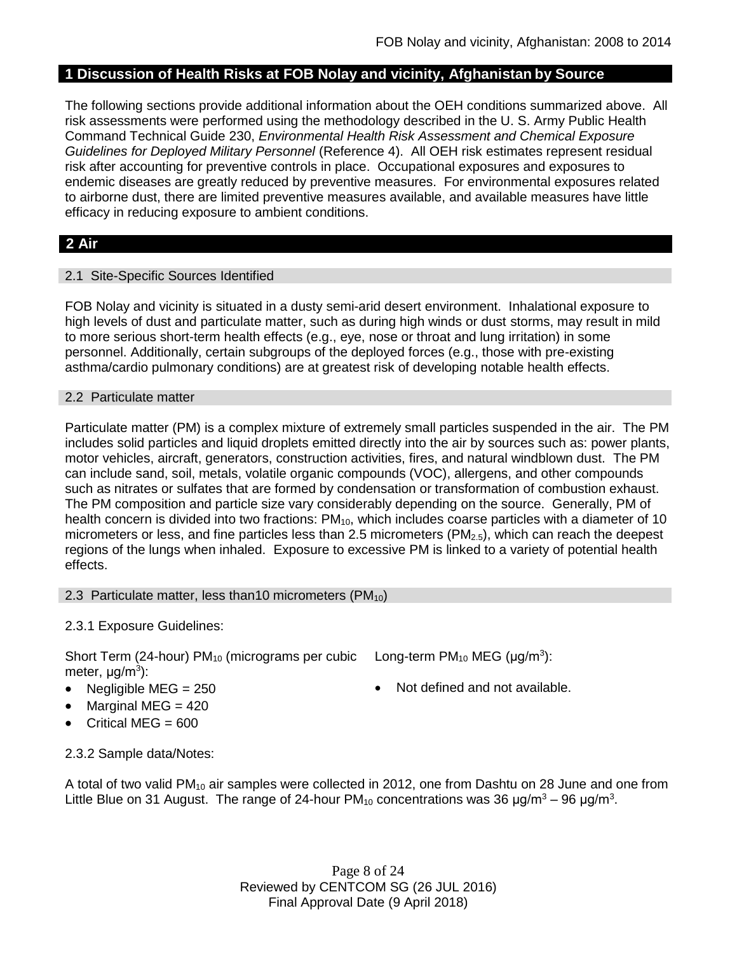# **1 Discussion of Health Risks at FOB Nolay and vicinity, Afghanistan by Source**

The following sections provide additional information about the OEH conditions summarized above. All risk assessments were performed using the methodology described in the U. S. Army Public Health Command Technical Guide 230, *Environmental Health Risk Assessment and Chemical Exposure Guidelines for Deployed Military Personnel* (Reference 4). All OEH risk estimates represent residual risk after accounting for preventive controls in place. Occupational exposures and exposures to endemic diseases are greatly reduced by preventive measures. For environmental exposures related to airborne dust, there are limited preventive measures available, and available measures have little efficacy in reducing exposure to ambient conditions.

# **2 Air**

#### 2.1 Site-Specific Sources Identified

FOB Nolay and vicinity is situated in a dusty semi-arid desert environment. Inhalational exposure to high levels of dust and particulate matter, such as during high winds or dust storms, may result in mild to more serious short-term health effects (e.g., eye, nose or throat and lung irritation) in some personnel. Additionally, certain subgroups of the deployed forces (e.g., those with pre-existing asthma/cardio pulmonary conditions) are at greatest risk of developing notable health effects.

#### 2.2 Particulate matter

Particulate matter (PM) is a complex mixture of extremely small particles suspended in the air. The PM includes solid particles and liquid droplets emitted directly into the air by sources such as: power plants, motor vehicles, aircraft, generators, construction activities, fires, and natural windblown dust. The PM can include sand, soil, metals, volatile organic compounds (VOC), allergens, and other compounds such as nitrates or sulfates that are formed by condensation or transformation of combustion exhaust. The PM composition and particle size vary considerably depending on the source. Generally, PM of health concern is divided into two fractions:  $PM_{10}$ , which includes coarse particles with a diameter of 10 micrometers or less, and fine particles less than 2.5 micrometers ( $PM<sub>2.5</sub>$ ), which can reach the deepest regions of the lungs when inhaled. Exposure to excessive PM is linked to a variety of potential health effects.

#### 2.3 Particulate matter, less than10 micrometers (PM<sub>10</sub>)

### 2.3.1 Exposure Guidelines:

Short Term (24-hour)  $PM_{10}$  (micrograms per cubic Long-term  $PM_{10}$  MEG ( $\mu$ g/m<sup>3</sup>): meter, μg/m<sup>3</sup>):

- 
- $\bullet$  Marginal MEG = 420
- Critical MEG =  $600$
- 
- Negligible  $MEG = 250$   $\bullet$  Not defined and not available.

2.3.2 Sample data/Notes:

A total of two valid  $PM_{10}$  air samples were collected in 2012, one from Dashtu on 28 June and one from Little Blue on 31 August. The range of 24-hour PM<sub>10</sub> concentrations was 36 µg/m<sup>3</sup> – 96 µg/m<sup>3</sup>.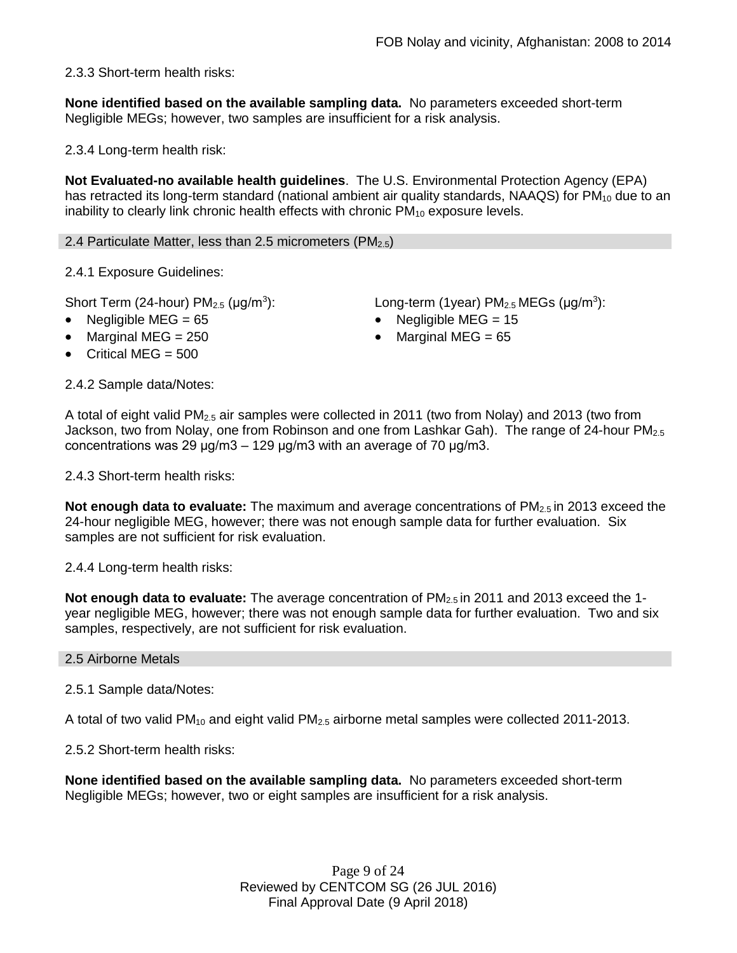2.3.3 Short-term health risks:

**None identified based on the available sampling data.** No parameters exceeded short-term Negligible MEGs; however, two samples are insufficient for a risk analysis.

2.3.4 Long-term health risk:

**Not Evaluated-no available health guidelines**. The U.S. Environmental Protection Agency (EPA) has retracted its long-term standard (national ambient air quality standards, NAAQS) for  $PM_{10}$  due to an inability to clearly link chronic health effects with chronic  $PM_{10}$  exposure levels.

2.4 Particulate Matter, less than 2.5 micrometers ( $PM_{2.5}$ )

2.4.1 Exposure Guidelines:

Short Term (24-hour)  $PM<sub>2.5</sub>$  ( $\mu$ g/m<sup>3</sup>):

- Negligible MEG = 65 Negligible MEG = 15
- Marginal MEG =  $250$  extended to Marginal MEG =  $65$
- Critical MEG  $= 500$

): Long-term (1year)  $PM_{2.5}$  MEGs ( $\mu$ g/m<sup>3</sup>):

2.4.2 Sample data/Notes:

A total of eight valid PM2.5 air samples were collected in 2011 (two from Nolay) and 2013 (two from Jackson, two from Nolay, one from Robinson and one from Lashkar Gah). The range of 24-hour PM<sub>2.5</sub> concentrations was 29  $\mu$ g/m3 – 129  $\mu$ g/m3 with an average of 70  $\mu$ g/m3.

2.4.3 Short-term health risks:

**Not enough data to evaluate:** The maximum and average concentrations of PM2.5 in 2013 exceed the 24-hour negligible MEG, however; there was not enough sample data for further evaluation. Six samples are not sufficient for risk evaluation.

2.4.4 Long-term health risks:

**Not enough data to evaluate:** The average concentration of PM<sub>2.5</sub> in 2011 and 2013 exceed the 1year negligible MEG, however; there was not enough sample data for further evaluation. Two and six samples, respectively, are not sufficient for risk evaluation.

#### 2.5 Airborne Metals

#### 2.5.1 Sample data/Notes:

A total of two valid  $PM_{10}$  and eight valid  $PM_{2.5}$  airborne metal samples were collected 2011-2013.

2.5.2 Short-term health risks:

**None identified based on the available sampling data.** No parameters exceeded short-term Negligible MEGs; however, two or eight samples are insufficient for a risk analysis.

> Page 9 of 24 Reviewed by CENTCOM SG (26 JUL 2016) Final Approval Date (9 April 2018)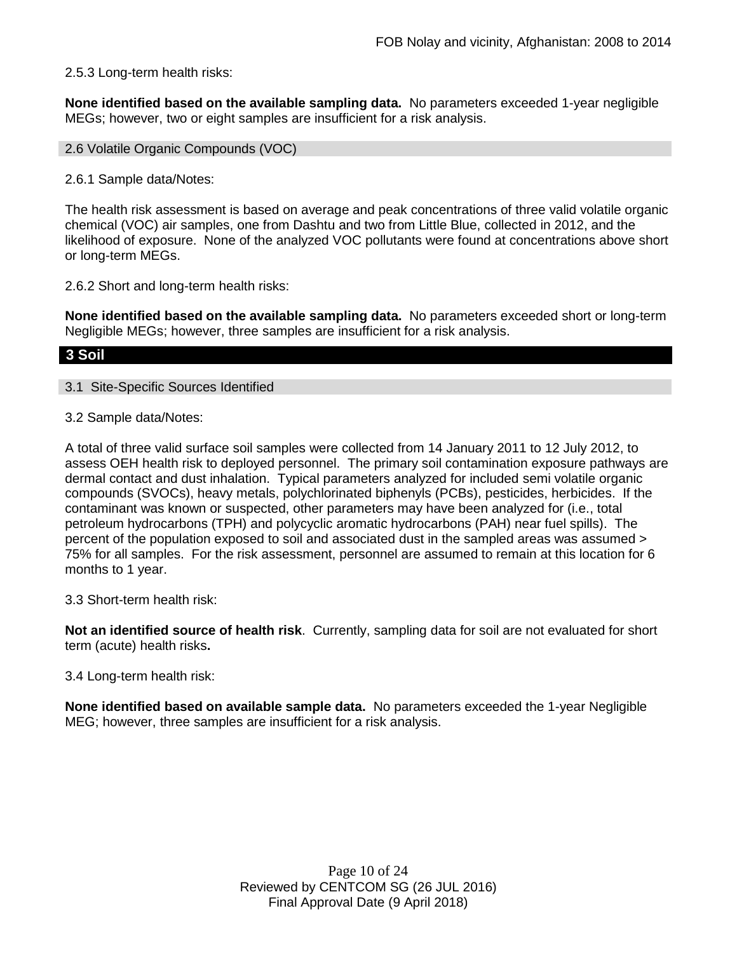#### 2.5.3 Long-term health risks:

**None identified based on the available sampling data.** No parameters exceeded 1-year negligible MEGs; however, two or eight samples are insufficient for a risk analysis.

2.6 Volatile Organic Compounds (VOC)

2.6.1 Sample data/Notes:

The health risk assessment is based on average and peak concentrations of three valid volatile organic chemical (VOC) air samples, one from Dashtu and two from Little Blue, collected in 2012, and the likelihood of exposure. None of the analyzed VOC pollutants were found at concentrations above short or long-term MEGs.

2.6.2 Short and long-term health risks:

**None identified based on the available sampling data.** No parameters exceeded short or long-term Negligible MEGs; however, three samples are insufficient for a risk analysis.

### **3 Soil**

#### 3.1 Site-Specific Sources Identified

3.2 Sample data/Notes:

A total of three valid surface soil samples were collected from 14 January 2011 to 12 July 2012, to assess OEH health risk to deployed personnel. The primary soil contamination exposure pathways are dermal contact and dust inhalation. Typical parameters analyzed for included semi volatile organic compounds (SVOCs), heavy metals, polychlorinated biphenyls (PCBs), pesticides, herbicides. If the contaminant was known or suspected, other parameters may have been analyzed for (i.e., total petroleum hydrocarbons (TPH) and polycyclic aromatic hydrocarbons (PAH) near fuel spills). The percent of the population exposed to soil and associated dust in the sampled areas was assumed > 75% for all samples. For the risk assessment, personnel are assumed to remain at this location for 6 months to 1 year.

3.3 Short-term health risk:

**Not an identified source of health risk**. Currently, sampling data for soil are not evaluated for short term (acute) health risks**.**

#### 3.4 Long-term health risk:

**None identified based on available sample data.** No parameters exceeded the 1-year Negligible MEG; however, three samples are insufficient for a risk analysis.

> Page 10 of 24 Reviewed by CENTCOM SG (26 JUL 2016) Final Approval Date (9 April 2018)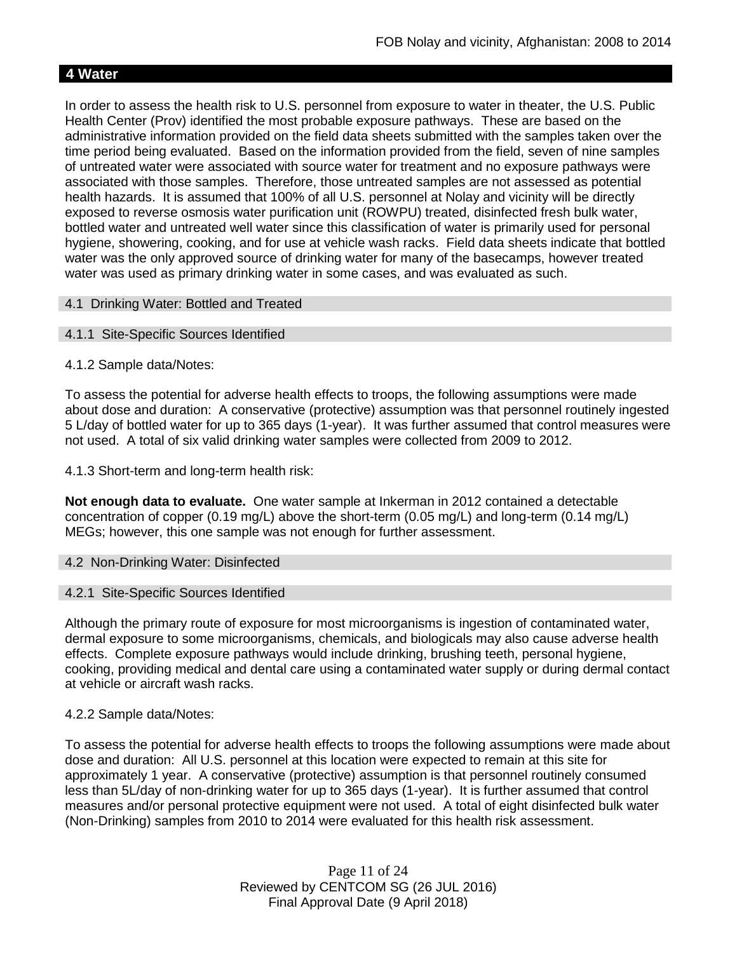# **4 Water**

In order to assess the health risk to U.S. personnel from exposure to water in theater, the U.S. Public Health Center (Prov) identified the most probable exposure pathways. These are based on the administrative information provided on the field data sheets submitted with the samples taken over the time period being evaluated. Based on the information provided from the field, seven of nine samples of untreated water were associated with source water for treatment and no exposure pathways were associated with those samples. Therefore, those untreated samples are not assessed as potential health hazards. It is assumed that 100% of all U.S. personnel at Nolay and vicinity will be directly exposed to reverse osmosis water purification unit (ROWPU) treated, disinfected fresh bulk water, bottled water and untreated well water since this classification of water is primarily used for personal hygiene, showering, cooking, and for use at vehicle wash racks. Field data sheets indicate that bottled water was the only approved source of drinking water for many of the basecamps, however treated water was used as primary drinking water in some cases, and was evaluated as such.

#### 4.1 Drinking Water: Bottled and Treated

#### 4.1.1 Site-Specific Sources Identified

#### 4.1.2 Sample data/Notes:

To assess the potential for adverse health effects to troops, the following assumptions were made about dose and duration: A conservative (protective) assumption was that personnel routinely ingested 5 L/day of bottled water for up to 365 days (1-year). It was further assumed that control measures were not used. A total of six valid drinking water samples were collected from 2009 to 2012.

4.1.3 Short-term and long-term health risk:

**Not enough data to evaluate.** One water sample at Inkerman in 2012 contained a detectable concentration of copper (0.19 mg/L) above the short-term (0.05 mg/L) and long-term (0.14 mg/L) MEGs; however, this one sample was not enough for further assessment.

#### 4.2 Non-Drinking Water: Disinfected

#### 4.2.1 Site-Specific Sources Identified

Although the primary route of exposure for most microorganisms is ingestion of contaminated water, dermal exposure to some microorganisms, chemicals, and biologicals may also cause adverse health effects. Complete exposure pathways would include drinking, brushing teeth, personal hygiene, cooking, providing medical and dental care using a contaminated water supply or during dermal contact at vehicle or aircraft wash racks.

#### 4.2.2 Sample data/Notes:

To assess the potential for adverse health effects to troops the following assumptions were made about dose and duration: All U.S. personnel at this location were expected to remain at this site for approximately 1 year. A conservative (protective) assumption is that personnel routinely consumed less than 5L/day of non-drinking water for up to 365 days (1-year). It is further assumed that control measures and/or personal protective equipment were not used. A total of eight disinfected bulk water (Non-Drinking) samples from 2010 to 2014 were evaluated for this health risk assessment.

> Page 11 of 24 Reviewed by CENTCOM SG (26 JUL 2016) Final Approval Date (9 April 2018)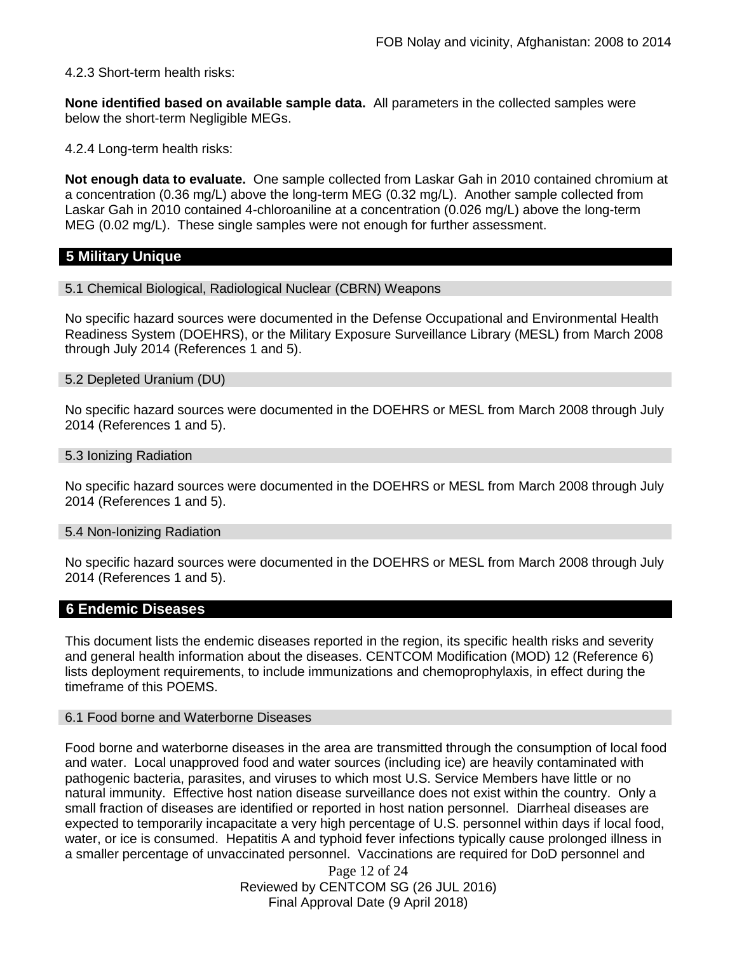4.2.3 Short-term health risks:

**None identified based on available sample data.** All parameters in the collected samples were below the short-term Negligible MEGs.

4.2.4 Long-term health risks:

**Not enough data to evaluate.** One sample collected from Laskar Gah in 2010 contained chromium at a concentration (0.36 mg/L) above the long-term MEG (0.32 mg/L). Another sample collected from Laskar Gah in 2010 contained 4-chloroaniline at a concentration (0.026 mg/L) above the long-term MEG (0.02 mg/L). These single samples were not enough for further assessment.

#### **5 Military Unique**

5.1 Chemical Biological, Radiological Nuclear (CBRN) Weapons

No specific hazard sources were documented in the Defense Occupational and Environmental Health Readiness System (DOEHRS), or the Military Exposure Surveillance Library (MESL) from March 2008 through July 2014 (References 1 and 5).

#### 5.2 Depleted Uranium (DU)

No specific hazard sources were documented in the DOEHRS or MESL from March 2008 through July 2014 (References 1 and 5).

#### 5.3 Ionizing Radiation

No specific hazard sources were documented in the DOEHRS or MESL from March 2008 through July 2014 (References 1 and 5).

#### 5.4 Non-Ionizing Radiation

No specific hazard sources were documented in the DOEHRS or MESL from March 2008 through July 2014 (References 1 and 5).

### **6 Endemic Diseases**

This document lists the endemic diseases reported in the region, its specific health risks and severity and general health information about the diseases. CENTCOM Modification (MOD) 12 (Reference 6) lists deployment requirements, to include immunizations and chemoprophylaxis, in effect during the timeframe of this POEMS.

#### 6.1 Food borne and Waterborne Diseases

Food borne and waterborne diseases in the area are transmitted through the consumption of local food and water. Local unapproved food and water sources (including ice) are heavily contaminated with pathogenic bacteria, parasites, and viruses to which most U.S. Service Members have little or no natural immunity. Effective host nation disease surveillance does not exist within the country. Only a small fraction of diseases are identified or reported in host nation personnel. Diarrheal diseases are expected to temporarily incapacitate a very high percentage of U.S. personnel within days if local food, water, or ice is consumed. Hepatitis A and typhoid fever infections typically cause prolonged illness in a smaller percentage of unvaccinated personnel. Vaccinations are required for DoD personnel and

> Page 12 of 24 Reviewed by CENTCOM SG (26 JUL 2016) Final Approval Date (9 April 2018)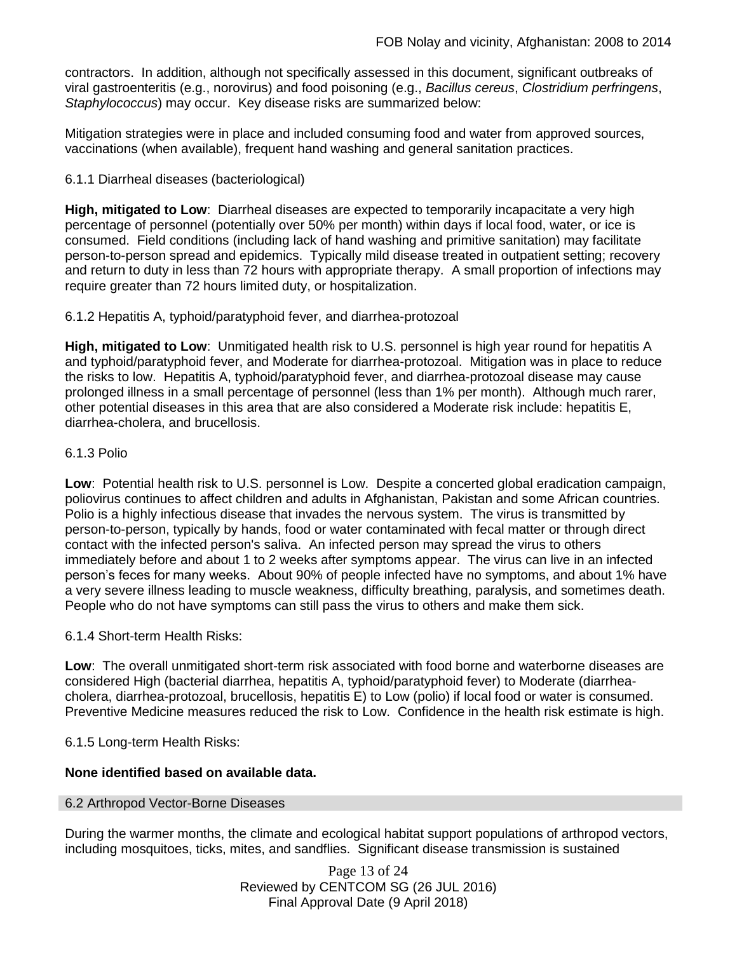contractors. In addition, although not specifically assessed in this document, significant outbreaks of viral gastroenteritis (e.g., norovirus) and food poisoning (e.g., *Bacillus cereus*, *Clostridium perfringens*, *Staphylococcus*) may occur. Key disease risks are summarized below:

Mitigation strategies were in place and included consuming food and water from approved sources, vaccinations (when available), frequent hand washing and general sanitation practices.

### 6.1.1 Diarrheal diseases (bacteriological)

**High, mitigated to Low**: Diarrheal diseases are expected to temporarily incapacitate a very high percentage of personnel (potentially over 50% per month) within days if local food, water, or ice is consumed. Field conditions (including lack of hand washing and primitive sanitation) may facilitate person-to-person spread and epidemics. Typically mild disease treated in outpatient setting; recovery and return to duty in less than 72 hours with appropriate therapy. A small proportion of infections may require greater than 72 hours limited duty, or hospitalization.

6.1.2 Hepatitis A, typhoid/paratyphoid fever, and diarrhea-protozoal

**High, mitigated to Low**: Unmitigated health risk to U.S. personnel is high year round for hepatitis A and typhoid/paratyphoid fever, and Moderate for diarrhea-protozoal. Mitigation was in place to reduce the risks to low. Hepatitis A, typhoid/paratyphoid fever, and diarrhea-protozoal disease may cause prolonged illness in a small percentage of personnel (less than 1% per month). Although much rarer, other potential diseases in this area that are also considered a Moderate risk include: hepatitis E, diarrhea-cholera, and brucellosis.

#### 6.1.3 Polio

**Low**: Potential health risk to U.S. personnel is Low. Despite a concerted global eradication campaign, poliovirus continues to affect children and adults in Afghanistan, Pakistan and some African countries. Polio is a highly infectious disease that invades the nervous system. The virus is transmitted by person-to-person, typically by hands, food or water contaminated with fecal matter or through direct contact with the infected person's saliva. An infected person may spread the virus to others immediately before and about 1 to 2 weeks after symptoms appear. The virus can live in an infected person's feces for many weeks. About 90% of people infected have no symptoms, and about 1% have a very severe illness leading to muscle weakness, difficulty breathing, paralysis, and sometimes death. People who do not have symptoms can still pass the virus to others and make them sick.

6.1.4 Short-term Health Risks:

**Low**: The overall unmitigated short-term risk associated with food borne and waterborne diseases are considered High (bacterial diarrhea, hepatitis A, typhoid/paratyphoid fever) to Moderate (diarrheacholera, diarrhea-protozoal, brucellosis, hepatitis E) to Low (polio) if local food or water is consumed. Preventive Medicine measures reduced the risk to Low. Confidence in the health risk estimate is high.

6.1.5 Long-term Health Risks:

### **None identified based on available data.**

#### 6.2 Arthropod Vector-Borne Diseases

During the warmer months, the climate and ecological habitat support populations of arthropod vectors, including mosquitoes, ticks, mites, and sandflies. Significant disease transmission is sustained

> Page 13 of 24 Reviewed by CENTCOM SG (26 JUL 2016) Final Approval Date (9 April 2018)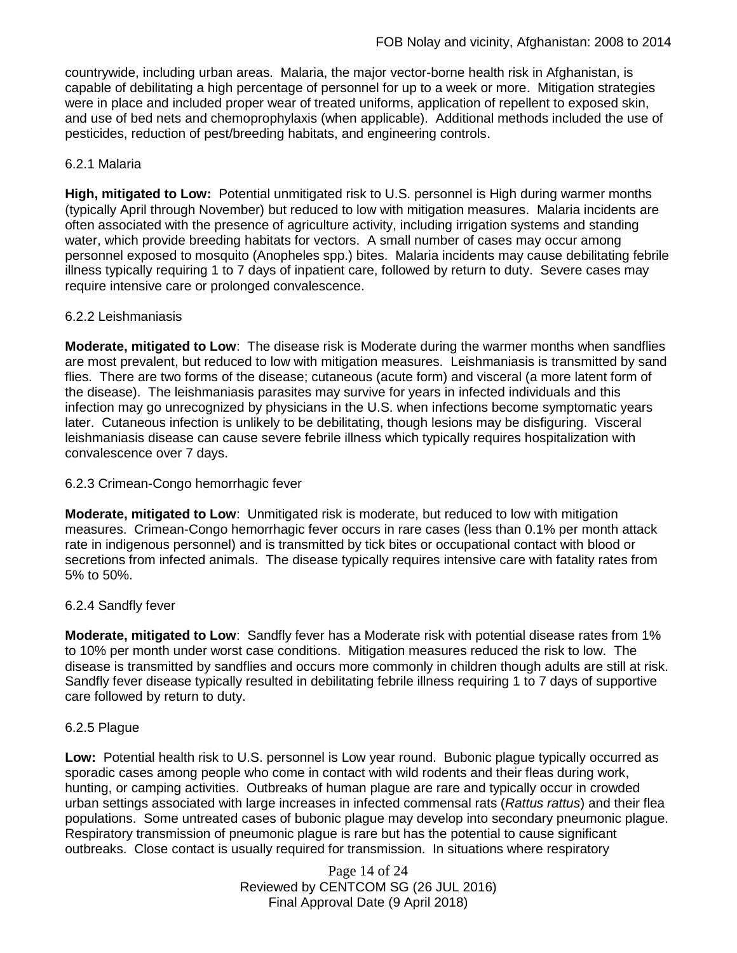countrywide, including urban areas. Malaria, the major vector-borne health risk in Afghanistan, is capable of debilitating a high percentage of personnel for up to a week or more. Mitigation strategies were in place and included proper wear of treated uniforms, application of repellent to exposed skin, and use of bed nets and chemoprophylaxis (when applicable). Additional methods included the use of pesticides, reduction of pest/breeding habitats, and engineering controls.

### 6.2.1 Malaria

**High, mitigated to Low:** Potential unmitigated risk to U.S. personnel is High during warmer months (typically April through November) but reduced to low with mitigation measures. Malaria incidents are often associated with the presence of agriculture activity, including irrigation systems and standing water, which provide breeding habitats for vectors. A small number of cases may occur among personnel exposed to mosquito (Anopheles spp.) bites. Malaria incidents may cause debilitating febrile illness typically requiring 1 to 7 days of inpatient care, followed by return to duty. Severe cases may require intensive care or prolonged convalescence.

#### 6.2.2 Leishmaniasis

**Moderate, mitigated to Low**: The disease risk is Moderate during the warmer months when sandflies are most prevalent, but reduced to low with mitigation measures. Leishmaniasis is transmitted by sand flies. There are two forms of the disease; cutaneous (acute form) and visceral (a more latent form of the disease). The leishmaniasis parasites may survive for years in infected individuals and this infection may go unrecognized by physicians in the U.S. when infections become symptomatic years later. Cutaneous infection is unlikely to be debilitating, though lesions may be disfiguring. Visceral leishmaniasis disease can cause severe febrile illness which typically requires hospitalization with convalescence over 7 days.

#### 6.2.3 Crimean-Congo hemorrhagic fever

**Moderate, mitigated to Low**: Unmitigated risk is moderate, but reduced to low with mitigation measures. Crimean-Congo hemorrhagic fever occurs in rare cases (less than 0.1% per month attack rate in indigenous personnel) and is transmitted by tick bites or occupational contact with blood or secretions from infected animals. The disease typically requires intensive care with fatality rates from 5% to 50%.

#### 6.2.4 Sandfly fever

**Moderate, mitigated to Low**: Sandfly fever has a Moderate risk with potential disease rates from 1% to 10% per month under worst case conditions. Mitigation measures reduced the risk to low. The disease is transmitted by sandflies and occurs more commonly in children though adults are still at risk. Sandfly fever disease typically resulted in debilitating febrile illness requiring 1 to 7 days of supportive care followed by return to duty.

#### 6.2.5 Plague

**Low:** Potential health risk to U.S. personnel is Low year round. Bubonic plague typically occurred as sporadic cases among people who come in contact with wild rodents and their fleas during work, hunting, or camping activities. Outbreaks of human plague are rare and typically occur in crowded urban settings associated with large increases in infected commensal rats (*Rattus rattus*) and their flea populations. Some untreated cases of bubonic plague may develop into secondary pneumonic plague. Respiratory transmission of pneumonic plague is rare but has the potential to cause significant outbreaks. Close contact is usually required for transmission. In situations where respiratory

> Page 14 of 24 Reviewed by CENTCOM SG (26 JUL 2016) Final Approval Date (9 April 2018)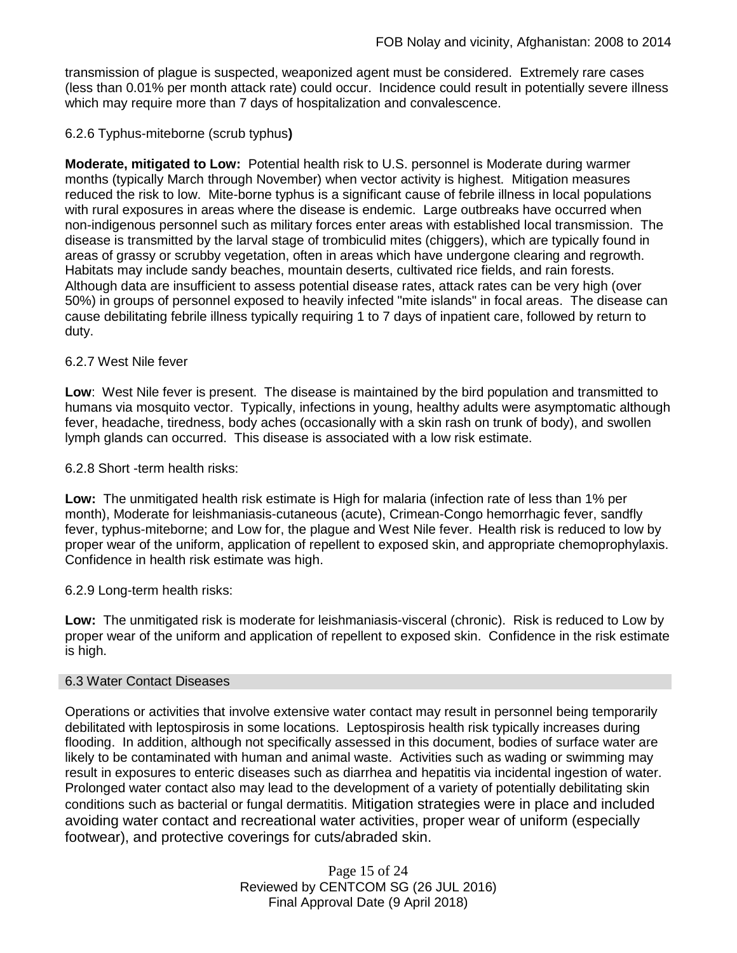transmission of plague is suspected, weaponized agent must be considered. Extremely rare cases (less than 0.01% per month attack rate) could occur. Incidence could result in potentially severe illness which may require more than 7 days of hospitalization and convalescence.

### 6.2.6 Typhus-miteborne (scrub typhus**)**

**Moderate, mitigated to Low:** Potential health risk to U.S. personnel is Moderate during warmer months (typically March through November) when vector activity is highest. Mitigation measures reduced the risk to low. Mite-borne typhus is a significant cause of febrile illness in local populations with rural exposures in areas where the disease is endemic. Large outbreaks have occurred when non-indigenous personnel such as military forces enter areas with established local transmission. The disease is transmitted by the larval stage of trombiculid mites (chiggers), which are typically found in areas of grassy or scrubby vegetation, often in areas which have undergone clearing and regrowth. Habitats may include sandy beaches, mountain deserts, cultivated rice fields, and rain forests. Although data are insufficient to assess potential disease rates, attack rates can be very high (over 50%) in groups of personnel exposed to heavily infected "mite islands" in focal areas. The disease can cause debilitating febrile illness typically requiring 1 to 7 days of inpatient care, followed by return to duty.

#### 6.2.7 West Nile fever

**Low**: West Nile fever is present. The disease is maintained by the bird population and transmitted to humans via mosquito vector. Typically, infections in young, healthy adults were asymptomatic although fever, headache, tiredness, body aches (occasionally with a skin rash on trunk of body), and swollen lymph glands can occurred. This disease is associated with a low risk estimate.

6.2.8 Short -term health risks:

**Low:** The unmitigated health risk estimate is High for malaria (infection rate of less than 1% per month), Moderate for leishmaniasis-cutaneous (acute), Crimean-Congo hemorrhagic fever, sandfly fever, typhus-miteborne; and Low for, the plague and West Nile fever. Health risk is reduced to low by proper wear of the uniform, application of repellent to exposed skin, and appropriate chemoprophylaxis. Confidence in health risk estimate was high.

6.2.9 Long-term health risks:

**Low:** The unmitigated risk is moderate for leishmaniasis-visceral (chronic). Risk is reduced to Low by proper wear of the uniform and application of repellent to exposed skin. Confidence in the risk estimate is high.

#### 6.3 Water Contact Diseases

Operations or activities that involve extensive water contact may result in personnel being temporarily debilitated with leptospirosis in some locations. Leptospirosis health risk typically increases during flooding. In addition, although not specifically assessed in this document, bodies of surface water are likely to be contaminated with human and animal waste. Activities such as wading or swimming may result in exposures to enteric diseases such as diarrhea and hepatitis via incidental ingestion of water. Prolonged water contact also may lead to the development of a variety of potentially debilitating skin conditions such as bacterial or fungal dermatitis. Mitigation strategies were in place and included avoiding water contact and recreational water activities, proper wear of uniform (especially footwear), and protective coverings for cuts/abraded skin.

> Page 15 of 24 Reviewed by CENTCOM SG (26 JUL 2016) Final Approval Date (9 April 2018)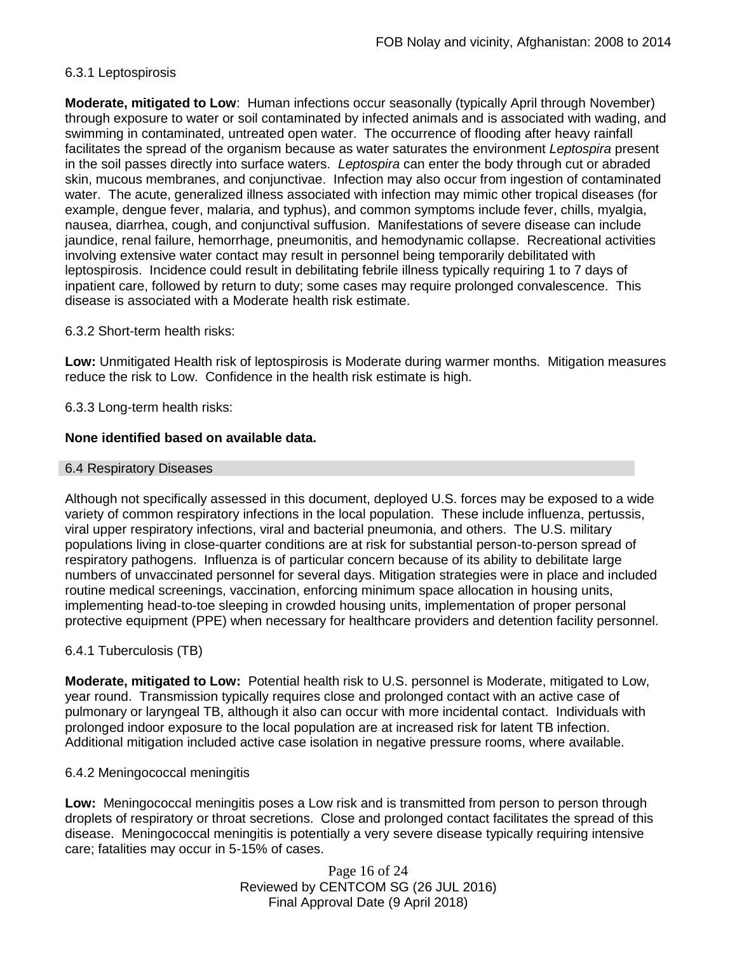### 6.3.1 Leptospirosis

**Moderate, mitigated to Low**: Human infections occur seasonally (typically April through November) through exposure to water or soil contaminated by infected animals and is associated with wading, and swimming in contaminated, untreated open water. The occurrence of flooding after heavy rainfall facilitates the spread of the organism because as water saturates the environment *Leptospira* present in the soil passes directly into surface waters. *Leptospira* can enter the body through cut or abraded skin, mucous membranes, and conjunctivae. Infection may also occur from ingestion of contaminated water. The acute, generalized illness associated with infection may mimic other tropical diseases (for example, dengue fever, malaria, and typhus), and common symptoms include fever, chills, myalgia, nausea, diarrhea, cough, and conjunctival suffusion. Manifestations of severe disease can include jaundice, renal failure, hemorrhage, pneumonitis, and hemodynamic collapse. Recreational activities involving extensive water contact may result in personnel being temporarily debilitated with leptospirosis. Incidence could result in debilitating febrile illness typically requiring 1 to 7 days of inpatient care, followed by return to duty; some cases may require prolonged convalescence. This disease is associated with a Moderate health risk estimate.

#### 6.3.2 Short-term health risks:

**Low:** Unmitigated Health risk of leptospirosis is Moderate during warmer months. Mitigation measures reduce the risk to Low. Confidence in the health risk estimate is high.

#### 6.3.3 Long-term health risks:

#### **None identified based on available data.**

#### 6.4 Respiratory Diseases

Although not specifically assessed in this document, deployed U.S. forces may be exposed to a wide variety of common respiratory infections in the local population. These include influenza, pertussis, viral upper respiratory infections, viral and bacterial pneumonia, and others. The U.S. military populations living in close-quarter conditions are at risk for substantial person-to-person spread of respiratory pathogens. Influenza is of particular concern because of its ability to debilitate large numbers of unvaccinated personnel for several days. Mitigation strategies were in place and included routine medical screenings, vaccination, enforcing minimum space allocation in housing units, implementing head-to-toe sleeping in crowded housing units, implementation of proper personal protective equipment (PPE) when necessary for healthcare providers and detention facility personnel.

#### 6.4.1 Tuberculosis (TB)

**Moderate, mitigated to Low:** Potential health risk to U.S. personnel is Moderate, mitigated to Low, year round. Transmission typically requires close and prolonged contact with an active case of pulmonary or laryngeal TB, although it also can occur with more incidental contact. Individuals with prolonged indoor exposure to the local population are at increased risk for latent TB infection. Additional mitigation included active case isolation in negative pressure rooms, where available.

#### 6.4.2 Meningococcal meningitis

**Low:** Meningococcal meningitis poses a Low risk and is transmitted from person to person through droplets of respiratory or throat secretions. Close and prolonged contact facilitates the spread of this disease. Meningococcal meningitis is potentially a very severe disease typically requiring intensive care; fatalities may occur in 5-15% of cases.

> Page 16 of 24 Reviewed by CENTCOM SG (26 JUL 2016) Final Approval Date (9 April 2018)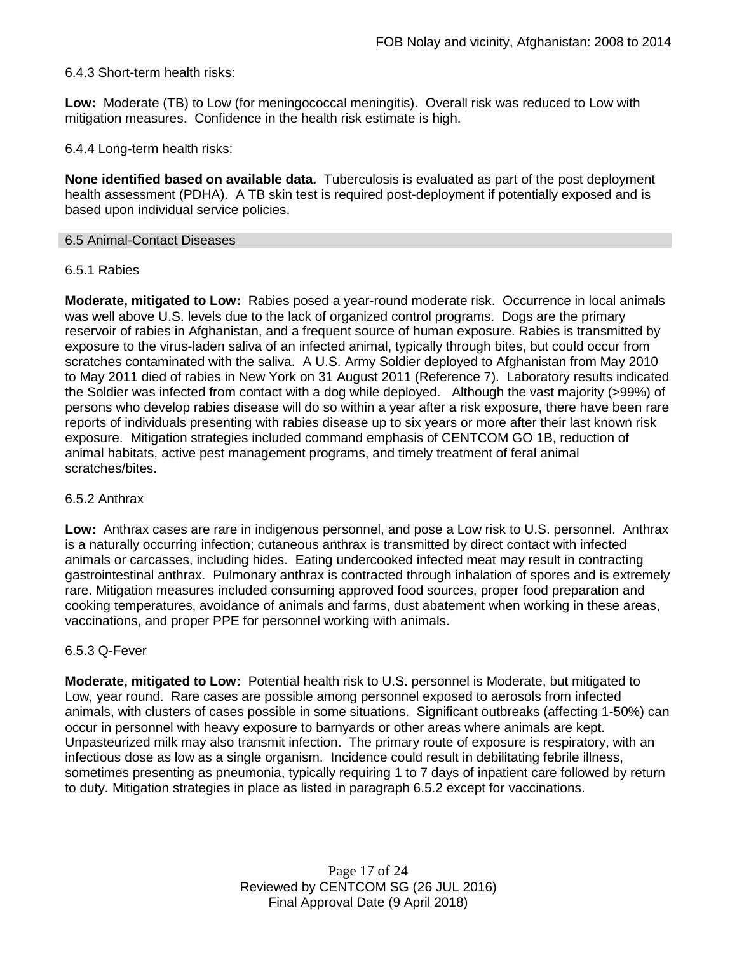### 6.4.3 Short-term health risks:

**Low:** Moderate (TB) to Low (for meningococcal meningitis). Overall risk was reduced to Low with mitigation measures. Confidence in the health risk estimate is high.

6.4.4 Long-term health risks:

**None identified based on available data.** Tuberculosis is evaluated as part of the post deployment health assessment (PDHA). A TB skin test is required post-deployment if potentially exposed and is based upon individual service policies.

#### 6.5 Animal-Contact Diseases

#### 6.5.1 Rabies

**Moderate, mitigated to Low:** Rabies posed a year-round moderate risk. Occurrence in local animals was well above U.S. levels due to the lack of organized control programs. Dogs are the primary reservoir of rabies in Afghanistan, and a frequent source of human exposure. Rabies is transmitted by exposure to the virus-laden saliva of an infected animal, typically through bites, but could occur from scratches contaminated with the saliva. A U.S. Army Soldier deployed to Afghanistan from May 2010 to May 2011 died of rabies in New York on 31 August 2011 (Reference 7). Laboratory results indicated the Soldier was infected from contact with a dog while deployed. Although the vast majority (>99%) of persons who develop rabies disease will do so within a year after a risk exposure, there have been rare reports of individuals presenting with rabies disease up to six years or more after their last known risk exposure. Mitigation strategies included command emphasis of CENTCOM GO 1B, reduction of animal habitats, active pest management programs, and timely treatment of feral animal scratches/bites.

#### 6.5.2 Anthrax

**Low:** Anthrax cases are rare in indigenous personnel, and pose a Low risk to U.S. personnel. Anthrax is a naturally occurring infection; cutaneous anthrax is transmitted by direct contact with infected animals or carcasses, including hides. Eating undercooked infected meat may result in contracting gastrointestinal anthrax. Pulmonary anthrax is contracted through inhalation of spores and is extremely rare. Mitigation measures included consuming approved food sources, proper food preparation and cooking temperatures, avoidance of animals and farms, dust abatement when working in these areas, vaccinations, and proper PPE for personnel working with animals.

#### 6.5.3 Q-Fever

**Moderate, mitigated to Low:** Potential health risk to U.S. personnel is Moderate, but mitigated to Low, year round. Rare cases are possible among personnel exposed to aerosols from infected animals, with clusters of cases possible in some situations. Significant outbreaks (affecting 1-50%) can occur in personnel with heavy exposure to barnyards or other areas where animals are kept. Unpasteurized milk may also transmit infection. The primary route of exposure is respiratory, with an infectious dose as low as a single organism. Incidence could result in debilitating febrile illness, sometimes presenting as pneumonia, typically requiring 1 to 7 days of inpatient care followed by return to duty. Mitigation strategies in place as listed in paragraph 6.5.2 except for vaccinations.

> Page 17 of 24 Reviewed by CENTCOM SG (26 JUL 2016) Final Approval Date (9 April 2018)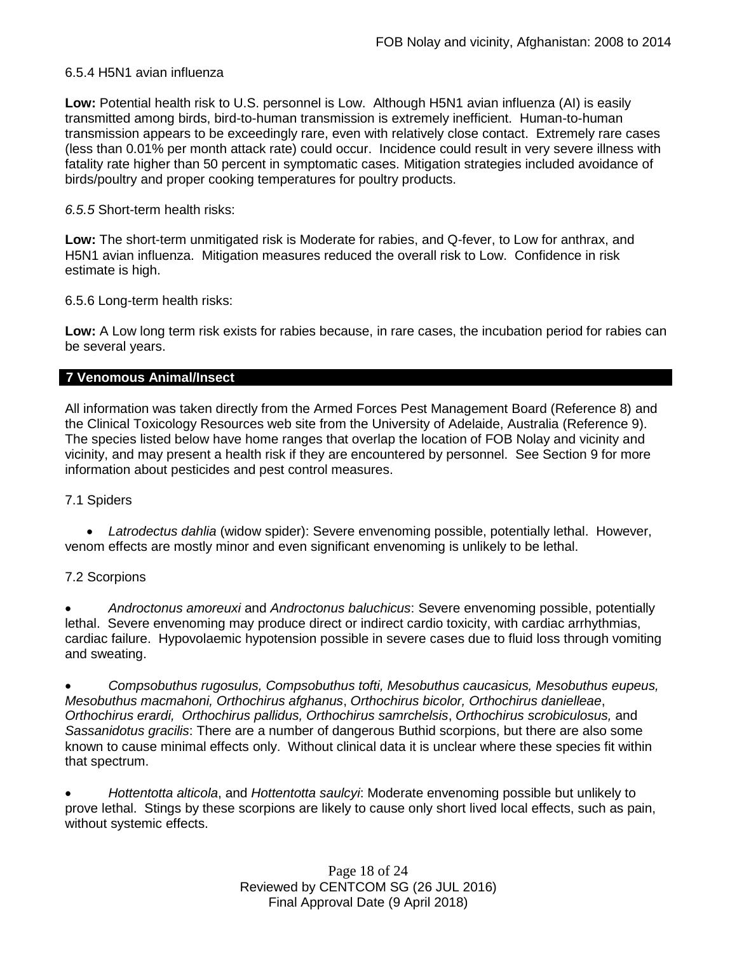#### 6.5.4 H5N1 avian influenza

**Low:** Potential health risk to U.S. personnel is Low. Although H5N1 avian influenza (AI) is easily transmitted among birds, bird-to-human transmission is extremely inefficient. Human-to-human transmission appears to be exceedingly rare, even with relatively close contact. Extremely rare cases (less than 0.01% per month attack rate) could occur. Incidence could result in very severe illness with fatality rate higher than 50 percent in symptomatic cases. Mitigation strategies included avoidance of birds/poultry and proper cooking temperatures for poultry products.

#### *6.5.5* Short-term health risks:

**Low:** The short-term unmitigated risk is Moderate for rabies, and Q-fever, to Low for anthrax, and H5N1 avian influenza. Mitigation measures reduced the overall risk to Low.Confidence in risk estimate is high.

6.5.6 Long-term health risks:

**Low:** A Low long term risk exists for rabies because, in rare cases, the incubation period for rabies can be several years.

#### **7 Venomous Animal/Insect**

All information was taken directly from the Armed Forces Pest Management Board (Reference 8) and the Clinical Toxicology Resources web site from the University of Adelaide, Australia (Reference 9). The species listed below have home ranges that overlap the location of FOB Nolay and vicinity and vicinity, and may present a health risk if they are encountered by personnel. See Section 9 for more information about pesticides and pest control measures.

### 7.1 Spiders

 *Latrodectus dahlia* (widow spider): Severe envenoming possible, potentially lethal. However, venom effects are mostly minor and even significant envenoming is unlikely to be lethal.

### 7.2 Scorpions

 *Androctonus amoreuxi* and *Androctonus baluchicus*: Severe envenoming possible, potentially lethal. Severe envenoming may produce direct or indirect cardio toxicity, with cardiac arrhythmias, cardiac failure. Hypovolaemic hypotension possible in severe cases due to fluid loss through vomiting and sweating.

 *Compsobuthus rugosulus, Compsobuthus tofti, Mesobuthus caucasicus, Mesobuthus eupeus, Mesobuthus macmahoni, Orthochirus afghanus*, *Orthochirus bicolor, Orthochirus danielleae*, *Orthochirus erardi, Orthochirus pallidus, Orthochirus samrchelsis*, *Orthochirus scrobiculosus,* and *Sassanidotus gracilis*: There are a number of dangerous Buthid scorpions, but there are also some known to cause minimal effects only. Without clinical data it is unclear where these species fit within that spectrum.

 *Hottentotta alticola*, and *Hottentotta saulcyi*: Moderate envenoming possible but unlikely to prove lethal. Stings by these scorpions are likely to cause only short lived local effects, such as pain, without systemic effects.

> Page 18 of 24 Reviewed by CENTCOM SG (26 JUL 2016) Final Approval Date (9 April 2018)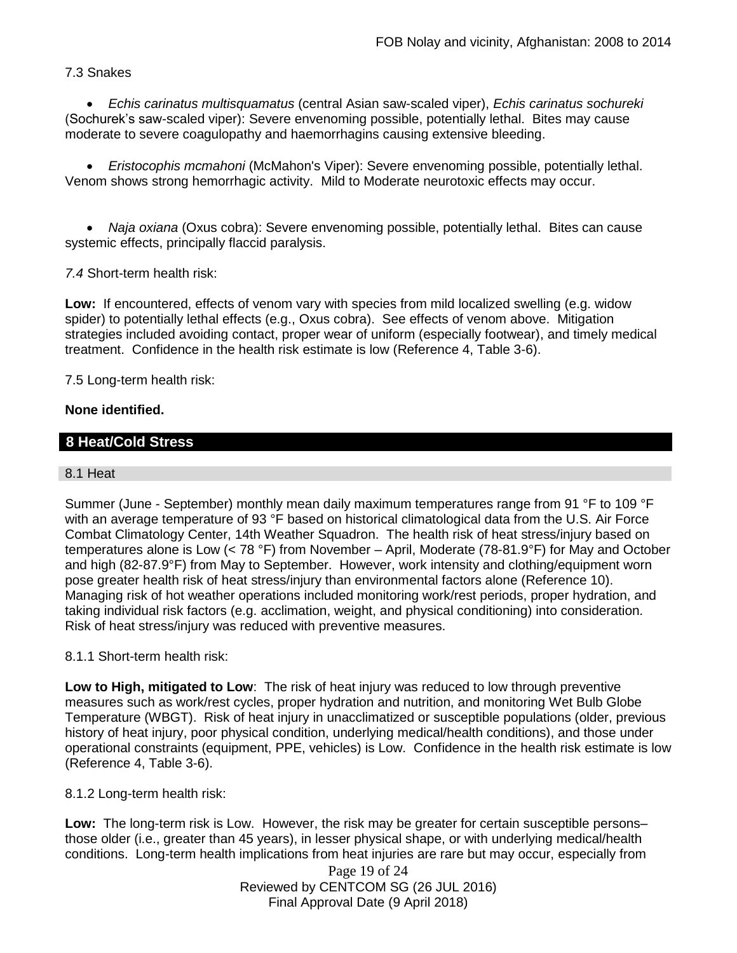### 7.3 Snakes

 *Echis carinatus multisquamatus* (central Asian saw-scaled viper), *Echis carinatus sochureki* (Sochurek's saw-scaled viper): Severe envenoming possible, potentially lethal. Bites may cause moderate to severe coagulopathy and haemorrhagins causing extensive bleeding.

 *Eristocophis mcmahoni* (McMahon's Viper): Severe envenoming possible, potentially lethal. Venom shows strong hemorrhagic activity. Mild to Moderate neurotoxic effects may occur.

 *Naja oxiana* (Oxus cobra): Severe envenoming possible, potentially lethal. Bites can cause systemic effects, principally flaccid paralysis.

*7.4* Short-term health risk:

**Low:** If encountered, effects of venom vary with species from mild localized swelling (e.g. widow spider) to potentially lethal effects (e.g., Oxus cobra). See effects of venom above. Mitigation strategies included avoiding contact, proper wear of uniform (especially footwear), and timely medical treatment. Confidence in the health risk estimate is low (Reference 4, Table 3-6).

7.5 Long-term health risk:

#### **None identified.**

### **8 Heat/Cold Stress**

#### 8.1 Heat

Summer (June - September) monthly mean daily maximum temperatures range from 91 °F to 109 °F with an average temperature of 93 °F based on historical climatological data from the U.S. Air Force Combat Climatology Center, 14th Weather Squadron. The health risk of heat stress/injury based on temperatures alone is Low (< 78 °F) from November – April, Moderate (78-81.9°F) for May and October and high (82-87.9°F) from May to September. However, work intensity and clothing/equipment worn pose greater health risk of heat stress/injury than environmental factors alone (Reference 10). Managing risk of hot weather operations included monitoring work/rest periods, proper hydration, and taking individual risk factors (e.g. acclimation, weight, and physical conditioning) into consideration. Risk of heat stress/injury was reduced with preventive measures.

#### 8.1.1 Short-term health risk:

**Low to High, mitigated to Low**: The risk of heat injury was reduced to low through preventive measures such as work/rest cycles, proper hydration and nutrition, and monitoring Wet Bulb Globe Temperature (WBGT). Risk of heat injury in unacclimatized or susceptible populations (older, previous history of heat injury, poor physical condition, underlying medical/health conditions), and those under operational constraints (equipment, PPE, vehicles) is Low. Confidence in the health risk estimate is low (Reference 4, Table 3-6).

8.1.2 Long-term health risk:

**Low:** The long-term risk is Low. However, the risk may be greater for certain susceptible persons– those older (i.e., greater than 45 years), in lesser physical shape, or with underlying medical/health conditions. Long-term health implications from heat injuries are rare but may occur, especially from

> Page 19 of 24 Reviewed by CENTCOM SG (26 JUL 2016) Final Approval Date (9 April 2018)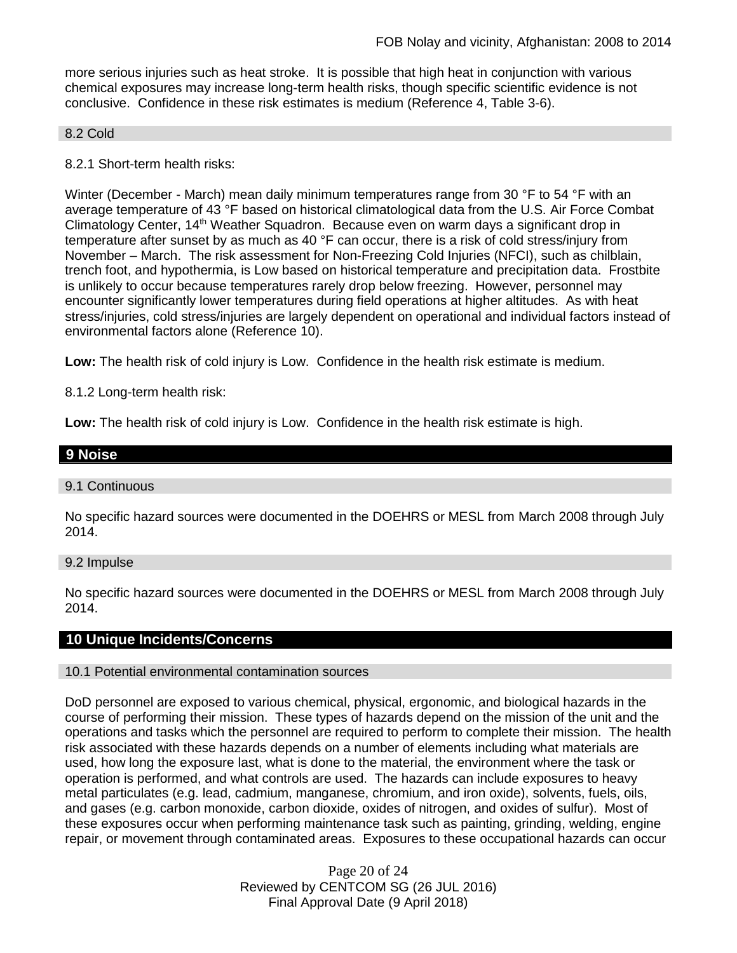more serious injuries such as heat stroke. It is possible that high heat in conjunction with various chemical exposures may increase long-term health risks, though specific scientific evidence is not conclusive. Confidence in these risk estimates is medium (Reference 4, Table 3-6).

#### 8.2 Cold

8.2.1 Short-term health risks:

Winter (December - March) mean daily minimum temperatures range from 30 °F to 54 °F with an average temperature of 43 °F based on historical climatological data from the U.S. Air Force Combat Climatology Center, 14th Weather Squadron. Because even on warm days a significant drop in temperature after sunset by as much as 40 °F can occur, there is a risk of cold stress/injury from November – March. The risk assessment for Non-Freezing Cold Injuries (NFCI), such as chilblain, trench foot, and hypothermia, is Low based on historical temperature and precipitation data. Frostbite is unlikely to occur because temperatures rarely drop below freezing. However, personnel may encounter significantly lower temperatures during field operations at higher altitudes. As with heat stress/injuries, cold stress/injuries are largely dependent on operational and individual factors instead of environmental factors alone (Reference 10).

**Low:** The health risk of cold injury is Low. Confidence in the health risk estimate is medium.

8.1.2 Long-term health risk:

**Low:** The health risk of cold injury is Low. Confidence in the health risk estimate is high.

| 9 Noise |  |  |
|---------|--|--|
|         |  |  |

#### 9.1 Continuous

No specific hazard sources were documented in the DOEHRS or MESL from March 2008 through July 2014.

#### 9.2 Impulse

No specific hazard sources were documented in the DOEHRS or MESL from March 2008 through July 2014.

#### **10 Unique Incidents/Concerns**

#### 10.1 Potential environmental contamination sources

DoD personnel are exposed to various chemical, physical, ergonomic, and biological hazards in the course of performing their mission. These types of hazards depend on the mission of the unit and the operations and tasks which the personnel are required to perform to complete their mission. The health risk associated with these hazards depends on a number of elements including what materials are used, how long the exposure last, what is done to the material, the environment where the task or operation is performed, and what controls are used. The hazards can include exposures to heavy metal particulates (e.g. lead, cadmium, manganese, chromium, and iron oxide), solvents, fuels, oils, and gases (e.g. carbon monoxide, carbon dioxide, oxides of nitrogen, and oxides of sulfur). Most of these exposures occur when performing maintenance task such as painting, grinding, welding, engine repair, or movement through contaminated areas. Exposures to these occupational hazards can occur

> Page 20 of 24 Reviewed by CENTCOM SG (26 JUL 2016) Final Approval Date (9 April 2018)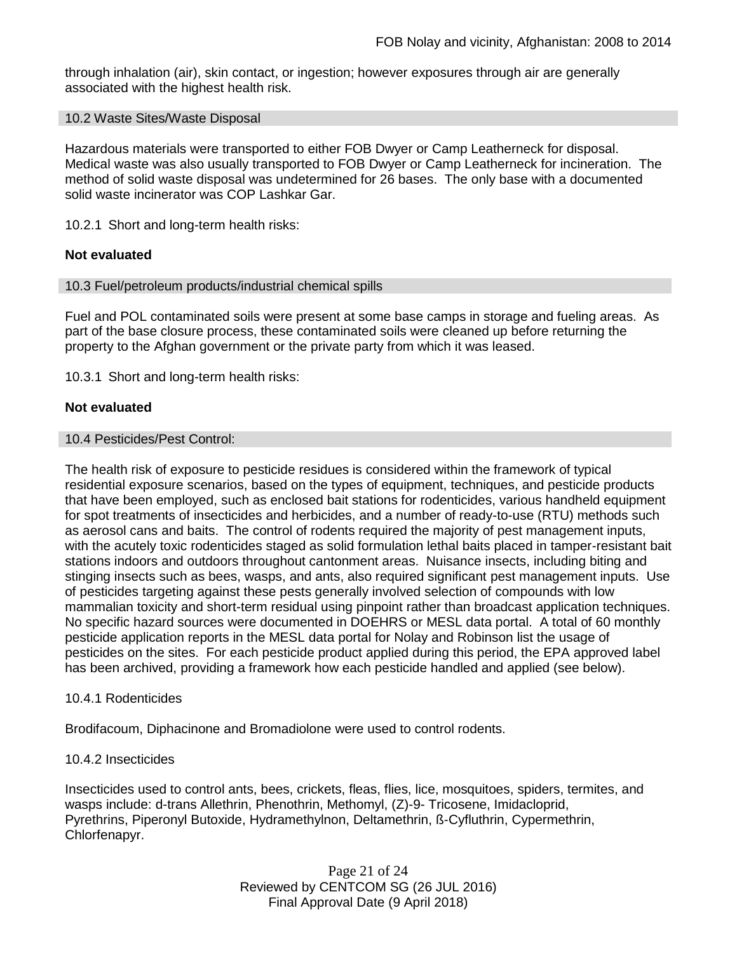through inhalation (air), skin contact, or ingestion; however exposures through air are generally associated with the highest health risk.

#### 10.2 Waste Sites/Waste Disposal

Hazardous materials were transported to either FOB Dwyer or Camp Leatherneck for disposal. Medical waste was also usually transported to FOB Dwyer or Camp Leatherneck for incineration. The method of solid waste disposal was undetermined for 26 bases. The only base with a documented solid waste incinerator was COP Lashkar Gar.

10.2.1 Short and long-term health risks:

#### **Not evaluated**

#### 10.3 Fuel/petroleum products/industrial chemical spills

Fuel and POL contaminated soils were present at some base camps in storage and fueling areas. As part of the base closure process, these contaminated soils were cleaned up before returning the property to the Afghan government or the private party from which it was leased.

10.3.1 Short and long-term health risks:

#### **Not evaluated**

#### 10.4 Pesticides/Pest Control:

The health risk of exposure to pesticide residues is considered within the framework of typical residential exposure scenarios, based on the types of equipment, techniques, and pesticide products that have been employed, such as enclosed bait stations for rodenticides, various handheld equipment for spot treatments of insecticides and herbicides, and a number of ready-to-use (RTU) methods such as aerosol cans and baits. The control of rodents required the majority of pest management inputs, with the acutely toxic rodenticides staged as solid formulation lethal baits placed in tamper-resistant bait stations indoors and outdoors throughout cantonment areas. Nuisance insects, including biting and stinging insects such as bees, wasps, and ants, also required significant pest management inputs. Use of pesticides targeting against these pests generally involved selection of compounds with low mammalian toxicity and short-term residual using pinpoint rather than broadcast application techniques. No specific hazard sources were documented in DOEHRS or MESL data portal. A total of 60 monthly pesticide application reports in the MESL data portal for Nolay and Robinson list the usage of pesticides on the sites. For each pesticide product applied during this period, the EPA approved label has been archived, providing a framework how each pesticide handled and applied (see below).

#### 10.4.1 Rodenticides

Brodifacoum, Diphacinone and Bromadiolone were used to control rodents.

#### 10.4.2 Insecticides

Insecticides used to control ants, bees, crickets, fleas, flies, lice, mosquitoes, spiders, termites, and wasps include: d-trans Allethrin, Phenothrin, Methomyl, (Z)-9- Tricosene, Imidacloprid, Pyrethrins, Piperonyl Butoxide, Hydramethylnon, Deltamethrin, ß-Cyfluthrin, Cypermethrin, Chlorfenapyr.

> Page 21 of 24 Reviewed by CENTCOM SG (26 JUL 2016) Final Approval Date (9 April 2018)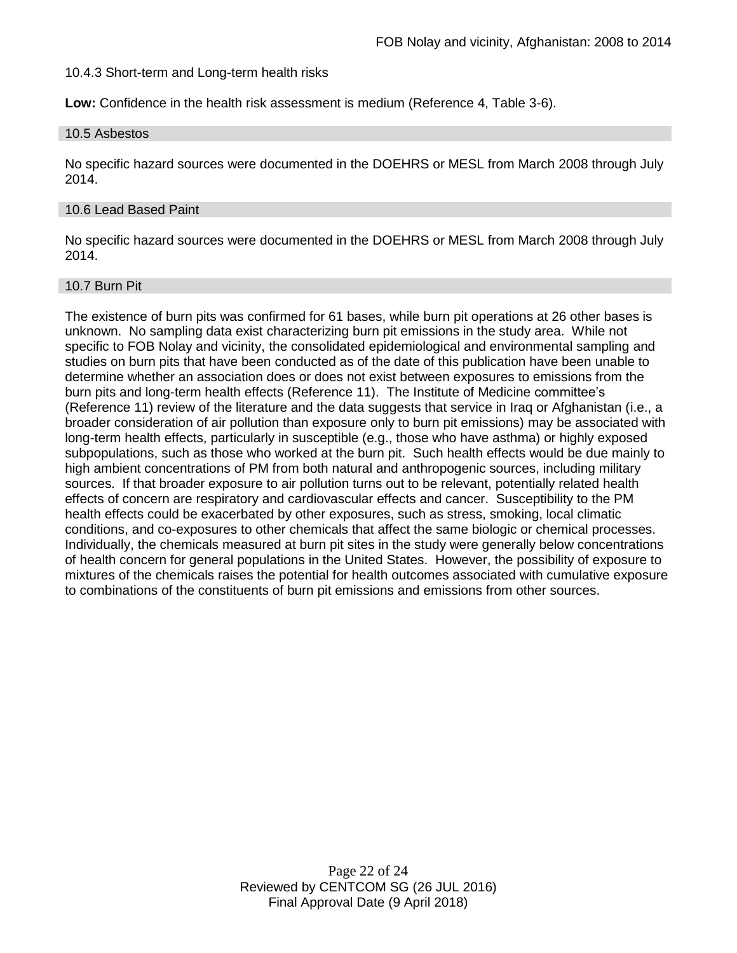10.4.3 Short-term and Long-term health risks

**Low:** Confidence in the health risk assessment is medium (Reference 4, Table 3-6).

#### 10.5 Asbestos

No specific hazard sources were documented in the DOEHRS or MESL from March 2008 through July 2014.

#### 10.6 Lead Based Paint

No specific hazard sources were documented in the DOEHRS or MESL from March 2008 through July 2014.

#### 10.7 Burn Pit

The existence of burn pits was confirmed for 61 bases, while burn pit operations at 26 other bases is unknown. No sampling data exist characterizing burn pit emissions in the study area. While not specific to FOB Nolay and vicinity, the consolidated epidemiological and environmental sampling and studies on burn pits that have been conducted as of the date of this publication have been unable to determine whether an association does or does not exist between exposures to emissions from the burn pits and long-term health effects (Reference 11). The Institute of Medicine committee's (Reference 11) review of the literature and the data suggests that service in Iraq or Afghanistan (i.e., a broader consideration of air pollution than exposure only to burn pit emissions) may be associated with long-term health effects, particularly in susceptible (e.g., those who have asthma) or highly exposed subpopulations, such as those who worked at the burn pit. Such health effects would be due mainly to high ambient concentrations of PM from both natural and anthropogenic sources, including military sources. If that broader exposure to air pollution turns out to be relevant, potentially related health effects of concern are respiratory and cardiovascular effects and cancer. Susceptibility to the PM health effects could be exacerbated by other exposures, such as stress, smoking, local climatic conditions, and co-exposures to other chemicals that affect the same biologic or chemical processes. Individually, the chemicals measured at burn pit sites in the study were generally below concentrations of health concern for general populations in the United States. However, the possibility of exposure to mixtures of the chemicals raises the potential for health outcomes associated with cumulative exposure to combinations of the constituents of burn pit emissions and emissions from other sources.

> Page 22 of 24 Reviewed by CENTCOM SG (26 JUL 2016) Final Approval Date (9 April 2018)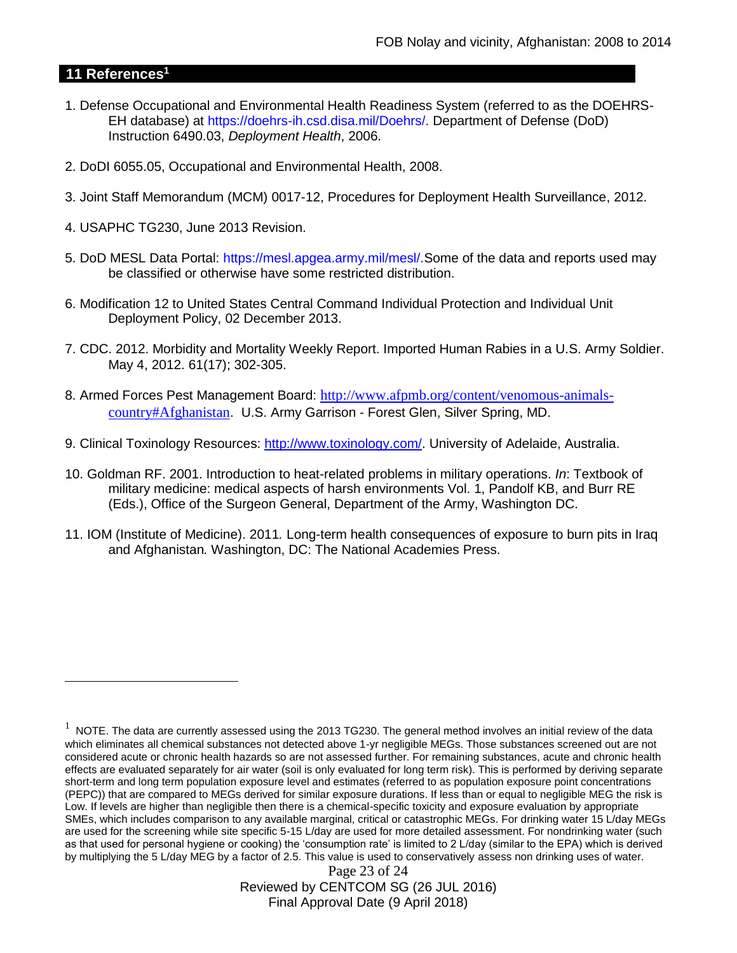# **11 References<sup>1</sup>**

 $\overline{a}$ 

- 1. Defense Occupational and Environmental Health Readiness System (referred to as the DOEHRS-EH database) at https://doehrs-ih.csd.disa.mil/Doehrs/. Department of Defense (DoD) Instruction 6490.03, *Deployment Health*, 2006.
- 2. DoDI 6055.05, Occupational and Environmental Health, 2008.
- 3. Joint Staff Memorandum (MCM) 0017-12, Procedures for Deployment Health Surveillance, 2012.
- 4. USAPHC TG230, June 2013 Revision.
- 5. DoD MESL Data Portal: https://mesl.apgea.army.mil/mesl/.Some of the data and reports used may be classified or otherwise have some restricted distribution.
- 6. Modification 12 to United States Central Command Individual Protection and Individual Unit Deployment Policy, 02 December 2013.
- 7. CDC. 2012. Morbidity and Mortality Weekly Report. Imported Human Rabies in a U.S. Army Soldier. May 4, 2012. 61(17); 302-305.
- 8. Armed Forces Pest Management Board: [http://www.afpmb.org/content/venomous-animals](http://www.afpmb.org/content/venomous-animals-country#Afghanistan)[country#Afghanistan](http://www.afpmb.org/content/venomous-animals-country#Afghanistan). U.S. Army Garrison - Forest Glen, Silver Spring, MD.
- 9. Clinical Toxinology Resources: [http://www.toxinology.com/.](http://www.toxinology.com/) University of Adelaide, Australia.
- 10. Goldman RF. 2001. Introduction to heat-related problems in military operations. *In*: Textbook of military medicine: medical aspects of harsh environments Vol. 1, Pandolf KB, and Burr RE (Eds.), Office of the Surgeon General, Department of the Army, Washington DC.
- 11. IOM (Institute of Medicine). 2011*.* Long-term health consequences of exposure to burn pits in Iraq and Afghanistan*.* Washington, DC: The National Academies Press.

Page 23 of 24 Reviewed by CENTCOM SG (26 JUL 2016) Final Approval Date (9 April 2018)

 $1$  NOTE. The data are currently assessed using the 2013 TG230. The general method involves an initial review of the data which eliminates all chemical substances not detected above 1-yr negligible MEGs. Those substances screened out are not considered acute or chronic health hazards so are not assessed further. For remaining substances, acute and chronic health effects are evaluated separately for air water (soil is only evaluated for long term risk). This is performed by deriving separate short-term and long term population exposure level and estimates (referred to as population exposure point concentrations (PEPC)) that are compared to MEGs derived for similar exposure durations. If less than or equal to negligible MEG the risk is Low. If levels are higher than negligible then there is a chemical-specific toxicity and exposure evaluation by appropriate SMEs, which includes comparison to any available marginal, critical or catastrophic MEGs. For drinking water 15 L/day MEGs are used for the screening while site specific 5-15 L/day are used for more detailed assessment. For nondrinking water (such as that used for personal hygiene or cooking) the 'consumption rate' is limited to 2 L/day (similar to the EPA) which is derived by multiplying the 5 L/day MEG by a factor of 2.5. This value is used to conservatively assess non drinking uses of water.